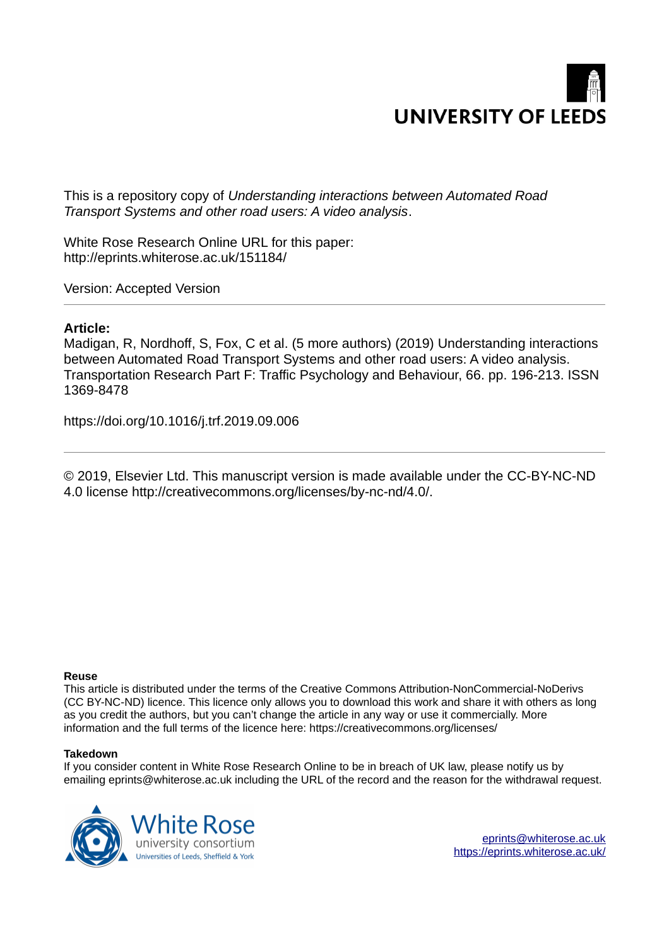

This is a repository copy of *Understanding interactions between Automated Road Transport Systems and other road users: A video analysis*.

White Rose Research Online URL for this paper: http://eprints.whiterose.ac.uk/151184/

Version: Accepted Version

#### **Article:**

Madigan, R, Nordhoff, S, Fox, C et al. (5 more authors) (2019) Understanding interactions between Automated Road Transport Systems and other road users: A video analysis. Transportation Research Part F: Traffic Psychology and Behaviour, 66. pp. 196-213. ISSN 1369-8478

https://doi.org/10.1016/j.trf.2019.09.006

© 2019, Elsevier Ltd. This manuscript version is made available under the CC-BY-NC-ND 4.0 license http://creativecommons.org/licenses/by-nc-nd/4.0/.

#### **Reuse**

This article is distributed under the terms of the Creative Commons Attribution-NonCommercial-NoDerivs (CC BY-NC-ND) licence. This licence only allows you to download this work and share it with others as long as you credit the authors, but you can't change the article in any way or use it commercially. More information and the full terms of the licence here: https://creativecommons.org/licenses/

#### **Takedown**

If you consider content in White Rose Research Online to be in breach of UK law, please notify us by emailing eprints@whiterose.ac.uk including the URL of the record and the reason for the withdrawal request.



[eprints@whiterose.ac.uk](mailto:eprints@whiterose.ac.uk) <https://eprints.whiterose.ac.uk/>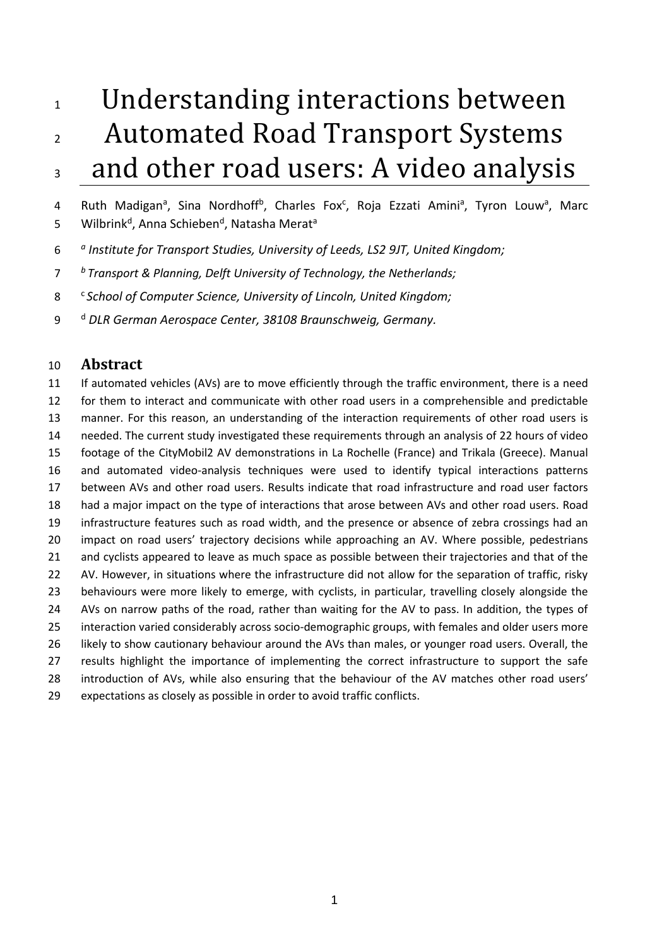# Understanding interactions between 2 Automated Road Transport Systems 3 and other road users: A video analysis

4 Ruth Madigan<sup>a</sup>, Sina Nordhoff<sup>b</sup>, Charles Fox<sup>c</sup>, Roja Ezzati Amini<sup>a</sup>, Tyron Louw<sup>a</sup>, Marc 5 Milbrink<sup>d</sup>, Anna Schieben<sup>d</sup>, Natasha Merat<sup>a</sup>

- *<sup>a</sup> Institute for Transport Studies, University of Leeds, LS2 9JT, United Kingdom;*
- *<sup>b</sup>Transport & Planning, Delft University of Technology, the Netherlands;*
- <sup>c</sup>*School of Computer Science, University of Lincoln, United Kingdom;*
- <sup>d</sup> *DLR German Aerospace Center, 38108 Braunschweig, Germany.*

# **Abstract**

<span id="page-1-0"></span> If automated vehicles (AVs) are to move efficiently through the traffic environment, there is a need for them to interact and communicate with other road users in a comprehensible and predictable manner. For this reason, an understanding of the interaction requirements of other road users is needed. The current study investigated these requirements through an analysis of 22 hours of video footage of the CityMobil2 AV demonstrations in La Rochelle (France) and Trikala (Greece). Manual and automated video-analysis techniques were used to identify typical interactions patterns between AVs and other road users. Results indicate that road infrastructure and road user factors had a major impact on the type of interactions that arose between AVs and other road users. Road infrastructure features such as road width, and the presence or absence of zebra crossings had an 20 impact on road users' trajectory decisions while approaching an AV. Where possible, pedestrians and cyclists appeared to leave as much space as possible between their trajectories and that of the 22 AV. However, in situations where the infrastructure did not allow for the separation of traffic, risky behaviours were more likely to emerge, with cyclists, in particular, travelling closely alongside the AVs on narrow paths of the road, rather than waiting for the AV to pass. In addition, the types of interaction varied considerably across socio-demographic groups, with females and older users more likely to show cautionary behaviour around the AVs than males, or younger road users. Overall, the 27 results highlight the importance of implementing the correct infrastructure to support the safe 28 introduction of AVs, while also ensuring that the behaviour of the AV matches other road users' expectations as closely as possible in order to avoid traffic conflicts.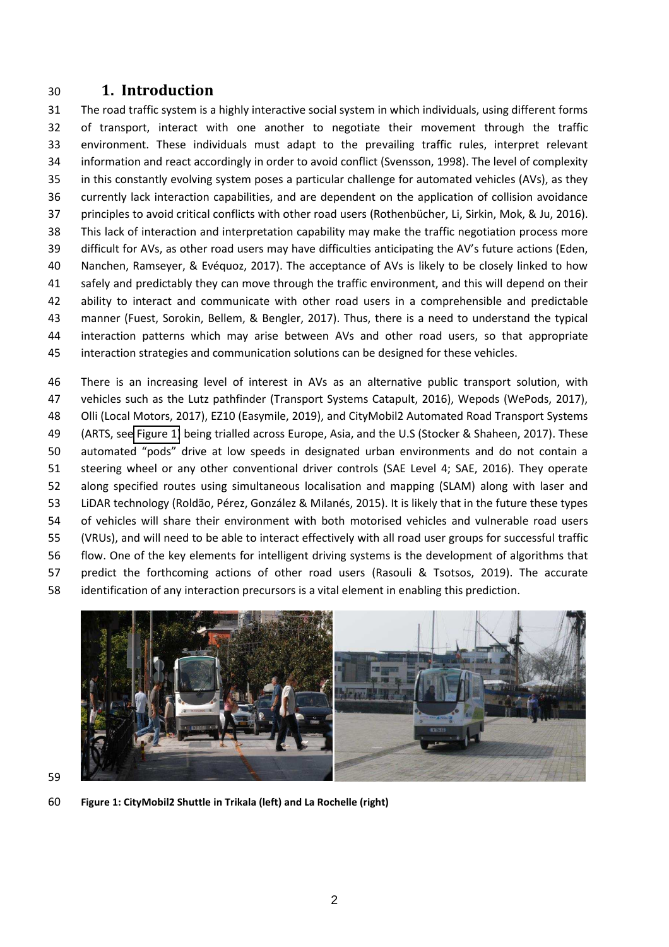# **1. Introduction**

 The road traffic system is a highly interactive social system in which individuals, using different forms of transport, interact with one another to negotiate their movement through the traffic environment. These individuals must adapt to the prevailing traffic rules, interpret relevant information and react accordingly in order to avoid conflict (Svensson, 1998). The level of complexity in this constantly evolving system poses a particular challenge for automated vehicles (AVs), as they currently lack interaction capabilities, and are dependent on the application of collision avoidance 37 principles to avoid critical conflicts with other road users (Rothenbücher, Li, Sirkin, Mok, & Ju, 2016). This lack of interaction and interpretation capability may make the traffic negotiation process more 39 difficult for AVs, as other road users may have difficulties anticipating the AV's future actions (Eden, Nanchen, Ramseyer, & EvÈquoz, 2017). The acceptance of AVs is likely to be closely linked to how safely and predictably they can move through the traffic environment, and this will depend on their ability to interact and communicate with other road users in a comprehensible and predictable manner (Fuest, Sorokin, Bellem, & Bengler, 2017). Thus, there is a need to understand the typical interaction patterns which may arise between AVs and other road users, so that appropriate interaction strategies and communication solutions can be designed for these vehicles.

 There is an increasing level of interest in AVs as an alternative public transport solution, with vehicles such as the Lutz pathfinder (Transport Systems Catapult, 2016), Wepods (WePods, 2017), Olli (Local Motors, 2017), EZ10 (Easymile, 2019), and CityMobil2 Automated Road Transport Systems (ARTS, see [Figure 1\)](#page-1-0) being trialled across Europe, Asia, and the U.S (Stocker & Shaheen, 2017). These 50 automated "pods" drive at low speeds in designated urban environments and do not contain a steering wheel or any other conventional driver controls (SAE Level 4; SAE, 2016). They operate along specified routes using simultaneous localisation and mapping (SLAM) along with laser and 53 LiDAR technology (Roldão, Pérez, González & Milanés, 2015). It is likely that in the future these types of vehicles will share their environment with both motorised vehicles and vulnerable road users (VRUs), and will need to be able to interact effectively with all road user groups for successful traffic flow. One of the key elements for intelligent driving systems is the development of algorithms that predict the forthcoming actions of other road users (Rasouli & Tsotsos, 2019). The accurate identification of any interaction precursors is a vital element in enabling this prediction.



**Figure 1: CityMobil2 Shuttle in Trikala (left) and La Rochelle (right)**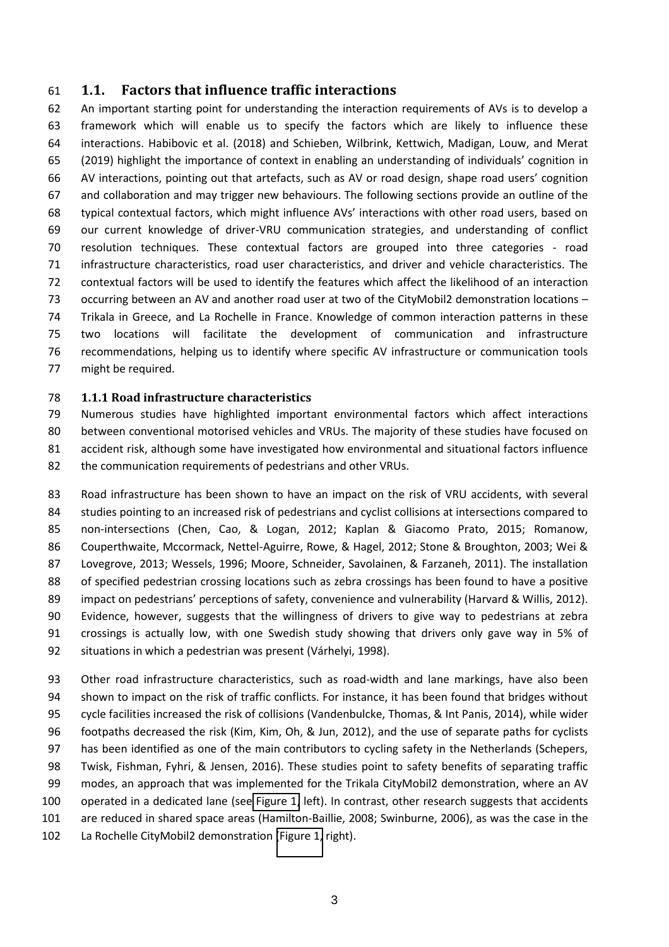## **1.1. Factors that influence traffic interactions**

 An important starting point for understanding the interaction requirements of AVs is to develop a framework which will enable us to specify the factors which are likely to influence these interactions. Habibovic et al. (2018) and Schieben, Wilbrink, Kettwich, Madigan, Louw, and Merat 65 (2019) highlight the importance of context in enabling an understanding of individuals' cognition in 66 AV interactions, pointing out that artefacts, such as AV or road design, shape road users' cognition and collaboration and may trigger new behaviours. The following sections provide an outline of the 68 typical contextual factors, which might influence AVs' interactions with other road users, based on our current knowledge of driver-VRU communication strategies, and understanding of conflict resolution techniques. These contextual factors are grouped into three categories - road infrastructure characteristics, road user characteristics, and driver and vehicle characteristics. The contextual factors will be used to identify the features which affect the likelihood of an interaction 73 occurring between an AV and another road user at two of the CityMobil2 demonstration locations – Trikala in Greece, and La Rochelle in France. Knowledge of common interaction patterns in these two locations will facilitate the development of communication and infrastructure recommendations, helping us to identify where specific AV infrastructure or communication tools might be required.

#### **1.1.1 Road infrastructure characteristics**

 Numerous studies have highlighted important environmental factors which affect interactions between conventional motorised vehicles and VRUs. The majority of these studies have focused on accident risk, although some have investigated how environmental and situational factors influence the communication requirements of pedestrians and other VRUs.

 Road infrastructure has been shown to have an impact on the risk of VRU accidents, with several studies pointing to an increased risk of pedestrians and cyclist collisions at intersections compared to non-intersections (Chen, Cao, & Logan, 2012; Kaplan & Giacomo Prato, 2015; Romanow, Couperthwaite, Mccormack, Nettel-Aguirre, Rowe, & Hagel, 2012; Stone & Broughton, 2003; Wei & Lovegrove, 2013; Wessels, 1996; Moore, Schneider, Savolainen, & Farzaneh, 2011). The installation of specified pedestrian crossing locations such as zebra crossings has been found to have a positive 89 impact on pedestrians' perceptions of safety, convenience and vulnerability (Harvard & Willis, 2012). Evidence, however, suggests that the willingness of drivers to give way to pedestrians at zebra crossings is actually low, with one Swedish study showing that drivers only gave way in 5% of 92 situations in which a pedestrian was present (Várhelyi, 1998).

 Other road infrastructure characteristics, such as road-width and lane markings, have also been shown to impact on the risk of traffic conflicts. For instance, it has been found that bridges without cycle facilities increased the risk of collisions (Vandenbulcke, Thomas, & Int Panis, 2014), while wider footpaths decreased the risk (Kim, Kim, Oh, & Jun, 2012), and the use of separate paths for cyclists has been identified as one of the main contributors to cycling safety in the Netherlands (Schepers, Twisk, Fishman, Fyhri, & Jensen, 2016). These studies point to safety benefits of separating traffic modes, an approach that was implemented for the Trikala CityMobil2 demonstration, where an AV operated in a dedicated lane (see [Figure 1,](#page-1-0) left). In contrast, other research suggests that accidents are reduced in shared space areas (Hamilton-Baillie, 2008; Swinburne, 2006), as was the case in the La Rochelle CityMobil2 demonstration [\(Figure 1,](#page-1-0) right).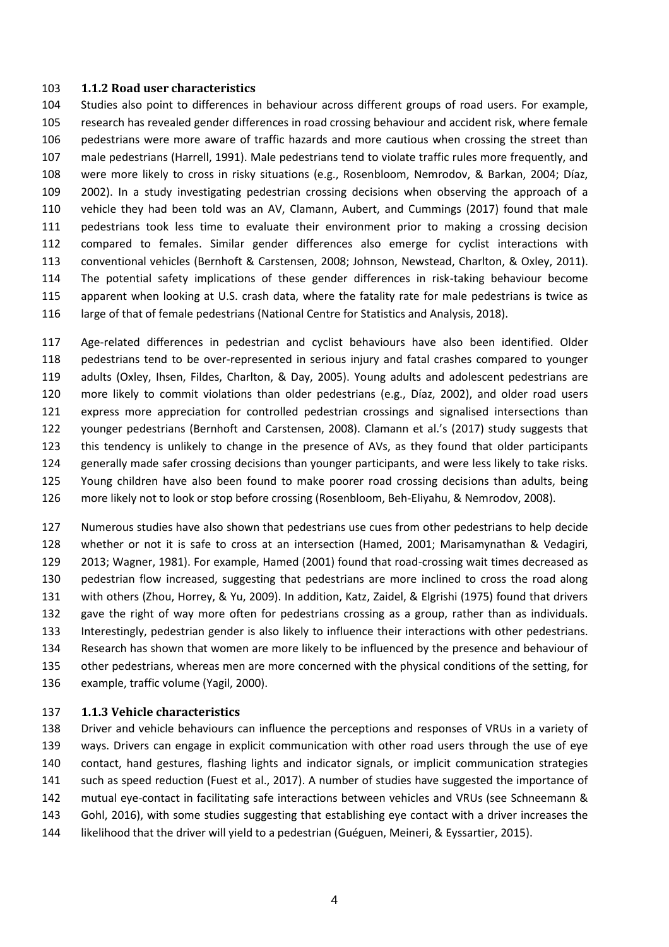#### **1.1.2 Road user characteristics**

 Studies also point to differences in behaviour across different groups of road users. For example, research has revealed gender differences in road crossing behaviour and accident risk, where female pedestrians were more aware of traffic hazards and more cautious when crossing the street than male pedestrians (Harrell, 1991). Male pedestrians tend to violate traffic rules more frequently, and 108 were more likely to cross in risky situations (e.g., Rosenbloom, Nemrodov, & Barkan, 2004; Díaz, 2002). In a study investigating pedestrian crossing decisions when observing the approach of a vehicle they had been told was an AV, Clamann, Aubert, and Cummings (2017) found that male pedestrians took less time to evaluate their environment prior to making a crossing decision compared to females. Similar gender differences also emerge for cyclist interactions with conventional vehicles (Bernhoft & Carstensen, 2008; Johnson, Newstead, Charlton, & Oxley, 2011). The potential safety implications of these gender differences in risk-taking behaviour become apparent when looking at U.S. crash data, where the fatality rate for male pedestrians is twice as 116 large of that of female pedestrians (National Centre for Statistics and Analysis, 2018).

 Age-related differences in pedestrian and cyclist behaviours have also been identified. Older pedestrians tend to be over-represented in serious injury and fatal crashes compared to younger adults (Oxley, Ihsen, Fildes, Charlton, & Day, 2005). Young adults and adolescent pedestrians are 120 more likely to commit violations than older pedestrians (e.g., Díaz, 2002), and older road users express more appreciation for controlled pedestrian crossings and signalised intersections than 122 younger pedestrians (Bernhoft and Carstensen, 2008). Clamann et al.'s (2017) study suggests that this tendency is unlikely to change in the presence of AVs, as they found that older participants generally made safer crossing decisions than younger participants, and were less likely to take risks. Young children have also been found to make poorer road crossing decisions than adults, being more likely not to look or stop before crossing (Rosenbloom, Beh-Eliyahu, & Nemrodov, 2008).

 Numerous studies have also shown that pedestrians use cues from other pedestrians to help decide whether or not it is safe to cross at an intersection (Hamed, 2001; Marisamynathan & Vedagiri, 2013; Wagner, 1981). For example, Hamed (2001) found that road-crossing wait times decreased as pedestrian flow increased, suggesting that pedestrians are more inclined to cross the road along with others (Zhou, Horrey, & Yu, 2009). In addition, Katz, Zaidel, & Elgrishi (1975) found that drivers gave the right of way more often for pedestrians crossing as a group, rather than as individuals. Interestingly, pedestrian gender is also likely to influence their interactions with other pedestrians. Research has shown that women are more likely to be influenced by the presence and behaviour of other pedestrians, whereas men are more concerned with the physical conditions of the setting, for example, traffic volume (Yagil, 2000).

#### **1.1.3 Vehicle characteristics**

 Driver and vehicle behaviours can influence the perceptions and responses of VRUs in a variety of ways. Drivers can engage in explicit communication with other road users through the use of eye contact, hand gestures, flashing lights and indicator signals, or implicit communication strategies such as speed reduction (Fuest et al., 2017). A number of studies have suggested the importance of mutual eye-contact in facilitating safe interactions between vehicles and VRUs (see Schneemann & Gohl, 2016), with some studies suggesting that establishing eye contact with a driver increases the 144 likelihood that the driver will yield to a pedestrian (Guéguen, Meineri, & Eyssartier, 2015).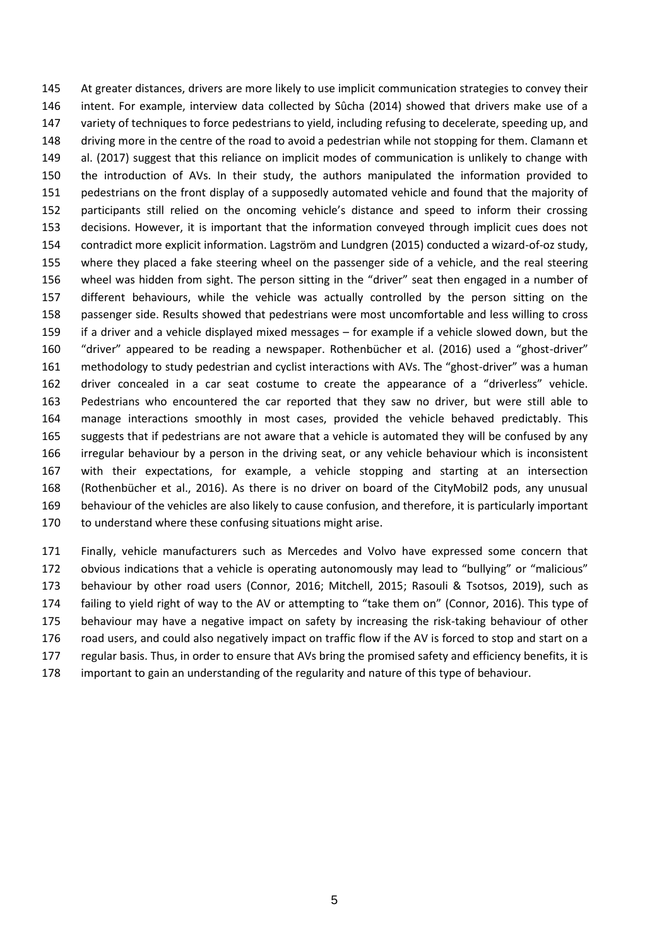145 At greater distances, drivers are more likely to use implicit communication strategies to convey their 146 intent. For example, interview data collected by Sûcha (2014) showed that drivers make use of a 147 variety of techniques to force pedestrians to yield, including refusing to decelerate, speeding up, and 148 driving more in the centre of the road to avoid a pedestrian while not stopping for them. Clamann et 149 al. (2017) suggest that this reliance on implicit modes of communication is unlikely to change with 150 the introduction of AVs. In their study, the authors manipulated the information provided to 151 pedestrians on the front display of a supposedly automated vehicle and found that the majority of 152 participants still relied on the oncoming vehicle's distance and speed to inform their crossing 153 decisions. However, it is important that the information conveyed through implicit cues does not 154 contradict more explicit information. Lagström and Lundgren (2015) conducted a wizard-of-oz study, 155 where they placed a fake steering wheel on the passenger side of a vehicle, and the real steering 156 wheel was hidden from sight. The person sitting in the "driver" seat then engaged in a number of 157 different behaviours, while the vehicle was actually controlled by the person sitting on the 158 passenger side. Results showed that pedestrians were most uncomfortable and less willing to cross 159 if a driver and a vehicle displayed mixed messages – for example if a vehicle slowed down, but the 160 "driver" appeared to be reading a newspaper. Rothenbücher et al. (2016) used a "ghost-driver" 161 methodology to study pedestrian and cyclist interactions with AVs. The "ghost-driver" was a human 162 driver concealed in a car seat costume to create the appearance of a "driverless" vehicle. 163 Pedestrians who encountered the car reported that they saw no driver, but were still able to 164 manage interactions smoothly in most cases, provided the vehicle behaved predictably. This 165 suggests that if pedestrians are not aware that a vehicle is automated they will be confused by any 166 irregular behaviour by a person in the driving seat, or any vehicle behaviour which is inconsistent 167 with their expectations, for example, a vehicle stopping and starting at an intersection 168 (Rothenbücher et al., 2016). As there is no driver on board of the CityMobil2 pods, any unusual 169 behaviour of the vehicles are also likely to cause confusion, and therefore, it is particularly important 170 to understand where these confusing situations might arise.

 Finally, vehicle manufacturers such as Mercedes and Volvo have expressed some concern that 172 obvious indications that a vehicle is operating autonomously may lead to "bullying" or "malicious" behaviour by other road users (Connor, 2016; Mitchell, 2015; Rasouli & Tsotsos, 2019), such as 174 failing to yield right of way to the AV or attempting to "take them on" (Connor, 2016). This type of behaviour may have a negative impact on safety by increasing the risk-taking behaviour of other 176 road users, and could also negatively impact on traffic flow if the AV is forced to stop and start on a regular basis. Thus, in order to ensure that AVs bring the promised safety and efficiency benefits, it is important to gain an understanding of the regularity and nature of this type of behaviour.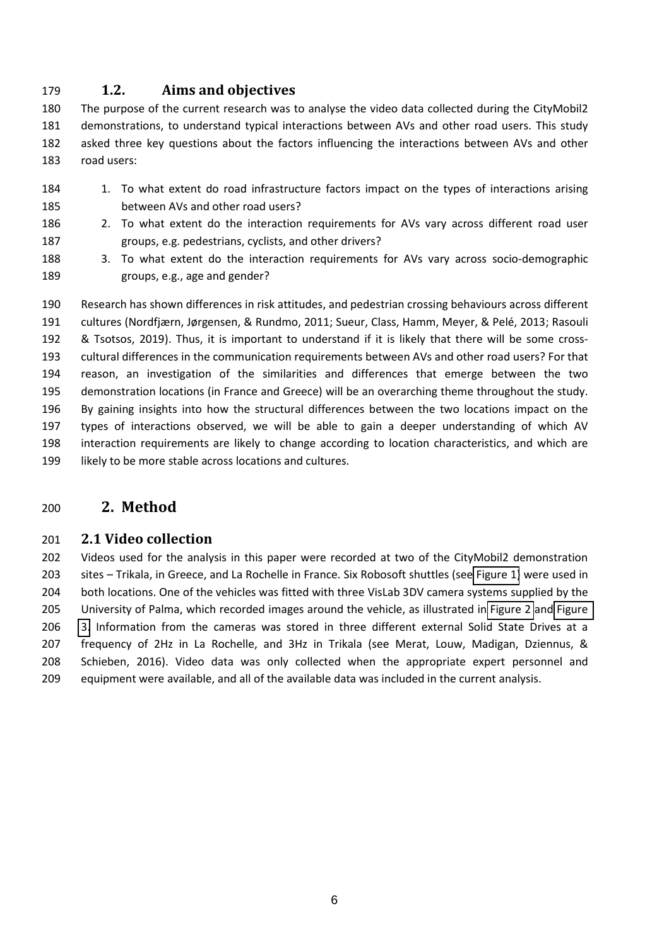# **1.2. Aims and objectives**

 The purpose of the current research was to analyse the video data collected during the CityMobil2 demonstrations, to understand typical interactions between AVs and other road users. This study asked three key questions about the factors influencing the interactions between AVs and other road users:

- 184 1. To what extent do road infrastructure factors impact on the types of interactions arising between AVs and other road users?
- 2. To what extent do the interaction requirements for AVs vary across different road user groups, e.g. pedestrians, cyclists, and other drivers?
- 3. To what extent do the interaction requirements for AVs vary across socio-demographic groups, e.g., age and gender?

<span id="page-6-0"></span> Research has shown differences in risk attitudes, and pedestrian crossing behaviours across different 191 cultures (Nordfjærn, Jørgensen, & Rundmo, 2011; Sueur, Class, Hamm, Meyer, & Pelé, 2013; Rasouli & Tsotsos, 2019). Thus, it is important to understand if it is likely that there will be some cross- cultural differences in the communication requirements between AVs and other road users? For that reason, an investigation of the similarities and differences that emerge between the two demonstration locations (in France and Greece) will be an overarching theme throughout the study. 196 By gaining insights into how the structural differences between the two locations impact on the types of interactions observed, we will be able to gain a deeper understanding of which AV interaction requirements are likely to change according to location characteristics, and which are 199 likely to be more stable across locations and cultures.

# **2. Method**

# <span id="page-6-1"></span>**2.1 Video collection**

 Videos used for the analysis in this paper were recorded at two of the CityMobil2 demonstration 203 sites – Trikala, in Greece, and La Rochelle in France. Six Robosoft shuttles (see [Figure 1\)](#page-1-0) were used in both locations. One of the vehicles was fitted with three VisLab 3DV camera systems supplied by the University of Palma, which recorded images around the vehicle, as illustrated in [Figure 2](#page-6-0) and [Figure](#page-6-1)  [3.](#page-6-1) Information from the cameras was stored in three different external Solid State Drives at a frequency of 2Hz in La Rochelle, and 3Hz in Trikala (see Merat, Louw, Madigan, Dziennus, & Schieben, 2016). Video data was only collected when the appropriate expert personnel and equipment were available, and all of the available data was included in the current analysis.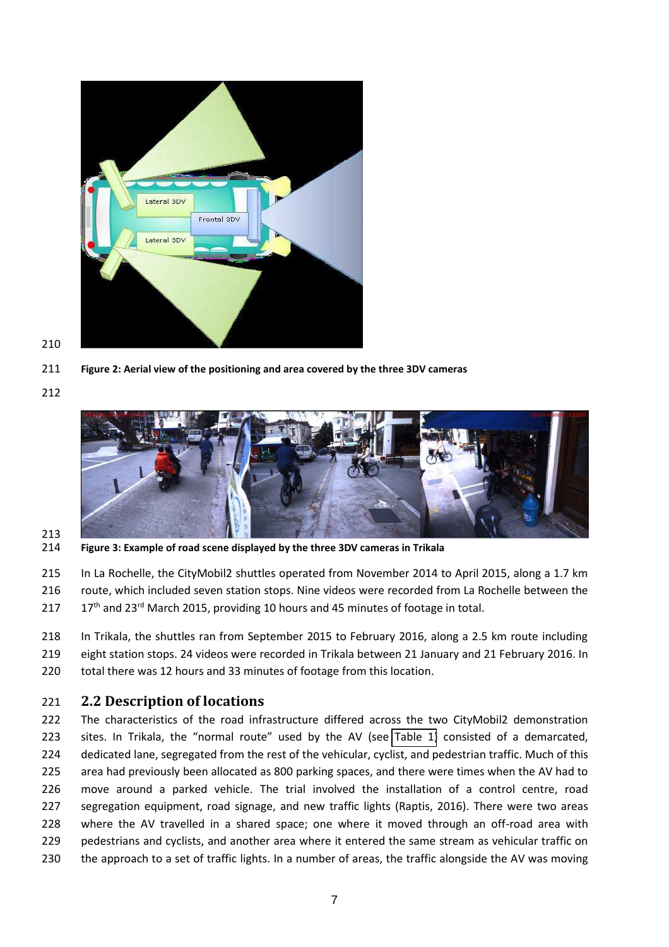

- **Figure 2: Aerial view of the positioning and area covered by the three 3DV cameras**
- 



- 
- **Figure 3: Example of road scene displayed by the three 3DV cameras in Trikala**
- In La Rochelle, the CityMobil2 shuttles operated from November 2014 to April 2015, along a 1.7 km route, which included seven station stops. Nine videos were recorded from La Rochelle between the
- 217 17<sup>th</sup> and 23<sup>rd</sup> March 2015, providing 10 hours and 45 minutes of footage in total.
- In Trikala, the shuttles ran from September 2015 to February 2016, along a 2.5 km route including eight station stops. 24 videos were recorded in Trikala between 21 January and 21 February 2016. In total there was 12 hours and 33 minutes of footage from this location.

# **2.2 Description of locations**

 The characteristics of the road infrastructure differed across the two CityMobil2 demonstration 223 sites. In Trikala, the "normal route" used by the AV (see [Table 1\)](#page-8-0) consisted of a demarcated, dedicated lane, segregated from the rest of the vehicular, cyclist, and pedestrian traffic. Much of this area had previously been allocated as 800 parking spaces, and there were times when the AV had to move around a parked vehicle. The trial involved the installation of a control centre, road segregation equipment, road signage, and new traffic lights (Raptis, 2016). There were two areas 228 where the AV travelled in a shared space; one where it moved through an off-road area with pedestrians and cyclists, and another area where it entered the same stream as vehicular traffic on the approach to a set of traffic lights. In a number of areas, the traffic alongside the AV was moving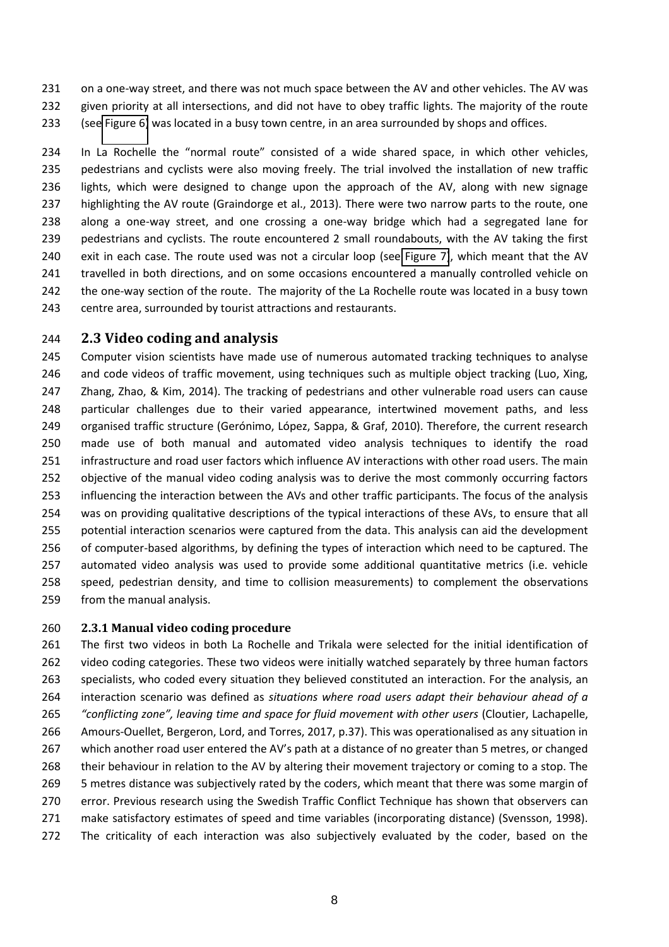231 on a one-way street, and there was not much space between the AV and other vehicles. The AV was given priority at all intersections, and did not have to obey traffic lights. The majority of the route (see [Figure 6\)](#page-17-0) was located in a busy town centre, in an area surrounded by shops and offices.

234 In La Rochelle the "normal route" consisted of a wide shared space, in which other vehicles, pedestrians and cyclists were also moving freely. The trial involved the installation of new traffic lights, which were designed to change upon the approach of the AV, along with new signage highlighting the AV route (Graindorge et al., 2013). There were two narrow parts to the route, one along a one-way street, and one crossing a one-way bridge which had a segregated lane for pedestrians and cyclists. The route encountered 2 small roundabouts, with the AV taking the first exit in each case. The route used was not a circular loop (see [Figure 7\)](#page-18-0), which meant that the AV travelled in both directions, and on some occasions encountered a manually controlled vehicle on the one-way section of the route. The majority of the La Rochelle route was located in a busy town centre area, surrounded by tourist attractions and restaurants.

# <span id="page-8-0"></span>**2.3 Video coding and analysis**

 Computer vision scientists have made use of numerous automated tracking techniques to analyse 246 and code videos of traffic movement, using techniques such as multiple object tracking (Luo, Xing, Zhang, Zhao, & Kim, 2014). The tracking of pedestrians and other vulnerable road users can cause particular challenges due to their varied appearance, intertwined movement paths, and less 249 organised traffic structure (Gerónimo, López, Sappa, & Graf, 2010). Therefore, the current research made use of both manual and automated video analysis techniques to identify the road infrastructure and road user factors which influence AV interactions with other road users. The main objective of the manual video coding analysis was to derive the most commonly occurring factors influencing the interaction between the AVs and other traffic participants. The focus of the analysis was on providing qualitative descriptions of the typical interactions of these AVs, to ensure that all potential interaction scenarios were captured from the data. This analysis can aid the development of computer-based algorithms, by defining the types of interaction which need to be captured. The automated video analysis was used to provide some additional quantitative metrics (i.e. vehicle speed, pedestrian density, and time to collision measurements) to complement the observations from the manual analysis.

# **2.3.1 Manual video coding procedure**

 The first two videos in both La Rochelle and Trikala were selected for the initial identification of video coding categories. These two videos were initially watched separately by three human factors specialists, who coded every situation they believed constituted an interaction. For the analysis, an interaction scenario was defined as *situations where road users adapt their behaviour ahead of a "conflicting zone"*, leaving time and space for fluid movement with other users (Cloutier, Lachapelle, Amours-Ouellet, Bergeron, Lord, and Torres, 2017, p.37). This was operationalised as any situation in 267 which another road user entered the AV's path at a distance of no greater than 5 metres, or changed their behaviour in relation to the AV by altering their movement trajectory or coming to a stop. The 5 metres distance was subjectively rated by the coders, which meant that there was some margin of error. Previous research using the Swedish Traffic Conflict Technique has shown that observers can make satisfactory estimates of speed and time variables (incorporating distance) (Svensson, 1998). 272 The criticality of each interaction was also subjectively evaluated by the coder, based on the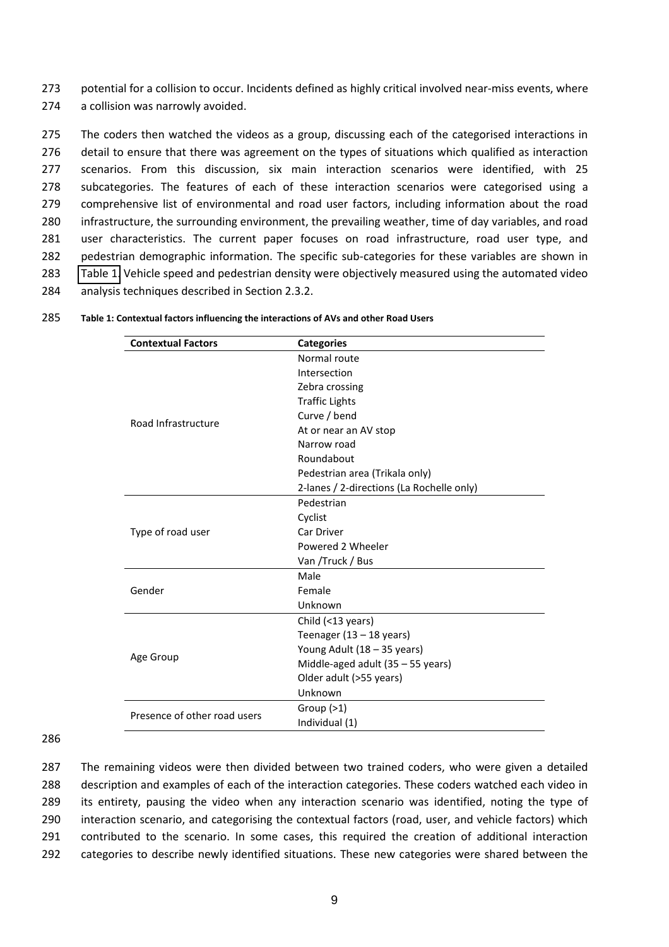273 potential for a collision to occur. Incidents defined as highly critical involved near-miss events, where 274 a collision was narrowly avoided.

<span id="page-9-0"></span> The coders then watched the videos as a group, discussing each of the categorised interactions in detail to ensure that there was agreement on the types of situations which qualified as interaction scenarios. From this discussion, six main interaction scenarios were identified, with 25 subcategories. The features of each of these interaction scenarios were categorised using a comprehensive list of environmental and road user factors, including information about the road infrastructure, the surrounding environment, the prevailing weather, time of day variables, and road user characteristics. The current paper focuses on road infrastructure, road user type, and pedestrian demographic information. The specific sub-categories for these variables are shown in [Table 1.](#page-8-0) Vehicle speed and pedestrian density were objectively measured using the automated video analysis techniques described in Section 2.3.2.

| <b>Contextual Factors</b>    | <b>Categories</b>                         |  |  |  |  |  |
|------------------------------|-------------------------------------------|--|--|--|--|--|
|                              | Normal route                              |  |  |  |  |  |
|                              | Intersection                              |  |  |  |  |  |
|                              | Zebra crossing                            |  |  |  |  |  |
|                              | <b>Traffic Lights</b>                     |  |  |  |  |  |
| Road Infrastructure          | Curve / bend                              |  |  |  |  |  |
|                              | At or near an AV stop                     |  |  |  |  |  |
|                              | Narrow road                               |  |  |  |  |  |
|                              | Roundabout                                |  |  |  |  |  |
|                              | Pedestrian area (Trikala only)            |  |  |  |  |  |
|                              | 2-lanes / 2-directions (La Rochelle only) |  |  |  |  |  |
|                              | Pedestrian                                |  |  |  |  |  |
|                              | Cyclist                                   |  |  |  |  |  |
| Type of road user            | Car Driver                                |  |  |  |  |  |
|                              | Powered 2 Wheeler                         |  |  |  |  |  |
|                              | Van /Truck / Bus                          |  |  |  |  |  |
|                              | Male                                      |  |  |  |  |  |
| Gender                       | Female                                    |  |  |  |  |  |
|                              | Unknown                                   |  |  |  |  |  |
|                              | Child (<13 years)                         |  |  |  |  |  |
|                              | Teenager $(13 - 18$ years)                |  |  |  |  |  |
|                              | Young Adult (18 - 35 years)               |  |  |  |  |  |
| Age Group                    | Middle-aged adult (35 - 55 years)         |  |  |  |  |  |
|                              | Older adult (>55 years)                   |  |  |  |  |  |
|                              | Unknown                                   |  |  |  |  |  |
| Presence of other road users | Group $(>1)$                              |  |  |  |  |  |
|                              | Individual (1)                            |  |  |  |  |  |
|                              |                                           |  |  |  |  |  |

285 **Table 1: Contextual factors influencing the interactions of AVs and other Road Users** 

286

 The remaining videos were then divided between two trained coders, who were given a detailed description and examples of each of the interaction categories. These coders watched each video in its entirety, pausing the video when any interaction scenario was identified, noting the type of interaction scenario, and categorising the contextual factors (road, user, and vehicle factors) which contributed to the scenario. In some cases, this required the creation of additional interaction categories to describe newly identified situations. These new categories were shared between the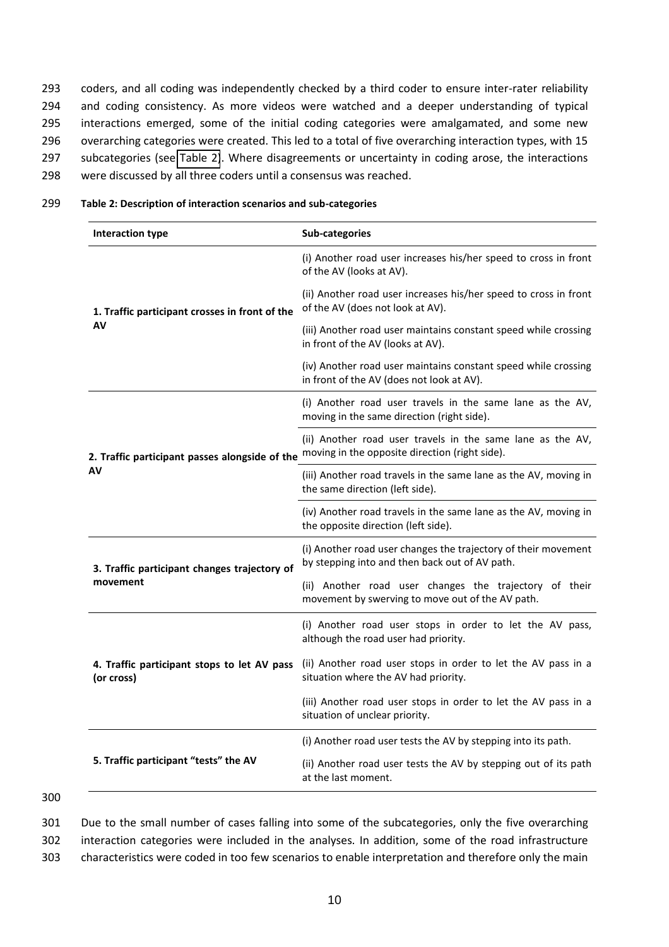coders, and all coding was independently checked by a third coder to ensure inter-rater reliability and coding consistency. As more videos were watched and a deeper understanding of typical interactions emerged, some of the initial coding categories were amalgamated, and some new overarching categories were created. This led to a total of five overarching interaction types, with 15 subcategories (see [Table 2\)](#page-9-0). Where disagreements or uncertainty in coding arose, the interactions were discussed by all three coders until a consensus was reached.

| 299 |  |  | Table 2: Description of interaction scenarios and sub-categories |
|-----|--|--|------------------------------------------------------------------|
|-----|--|--|------------------------------------------------------------------|

| <b>Interaction type</b>                                   | Sub-categories                                                                                                   |
|-----------------------------------------------------------|------------------------------------------------------------------------------------------------------------------|
|                                                           | (i) Another road user increases his/her speed to cross in front<br>of the AV (looks at AV).                      |
| 1. Traffic participant crosses in front of the            | (ii) Another road user increases his/her speed to cross in front<br>of the AV (does not look at AV).             |
| AV                                                        | (iii) Another road user maintains constant speed while crossing<br>in front of the AV (looks at AV).             |
|                                                           | (iv) Another road user maintains constant speed while crossing<br>in front of the AV (does not look at AV).      |
|                                                           | (i) Another road user travels in the same lane as the AV,<br>moving in the same direction (right side).          |
| 2. Traffic participant passes alongside of the            | (ii) Another road user travels in the same lane as the AV,<br>moving in the opposite direction (right side).     |
| AV                                                        | (iii) Another road travels in the same lane as the AV, moving in<br>the same direction (left side).              |
|                                                           | (iv) Another road travels in the same lane as the AV, moving in<br>the opposite direction (left side).           |
| 3. Traffic participant changes trajectory of              | (i) Another road user changes the trajectory of their movement<br>by stepping into and then back out of AV path. |
| movement                                                  | (ii) Another road user changes the trajectory of their<br>movement by swerving to move out of the AV path.       |
|                                                           | (i) Another road user stops in order to let the AV pass,<br>although the road user had priority.                 |
| 4. Traffic participant stops to let AV pass<br>(or cross) | (ii) Another road user stops in order to let the AV pass in a<br>situation where the AV had priority.            |
|                                                           | (iii) Another road user stops in order to let the AV pass in a<br>situation of unclear priority.                 |
|                                                           | (i) Another road user tests the AV by stepping into its path.                                                    |
| 5. Traffic participant "tests" the AV                     | (ii) Another road user tests the AV by stepping out of its path<br>at the last moment.                           |

<sup>300</sup>

301 Due to the small number of cases falling into some of the subcategories, only the five overarching 302 interaction categories were included in the analyses. In addition, some of the road infrastructure 303 characteristics were coded in too few scenarios to enable interpretation and therefore only the main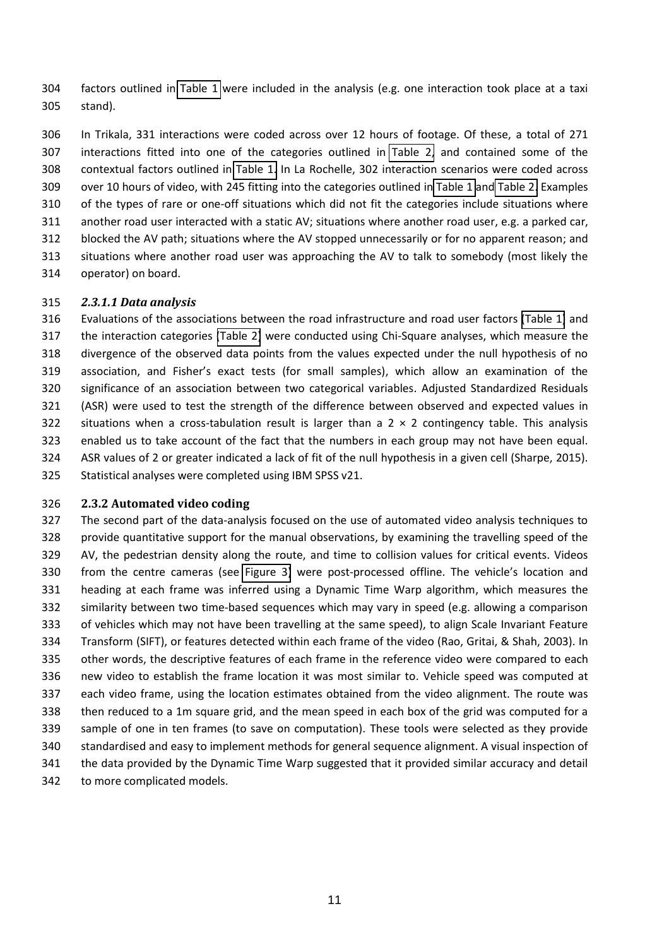factors outlined in [Table 1](#page-8-0) were included in the analysis (e.g. one interaction took place at a taxi stand).

 In Trikala, 331 interactions were coded across over 12 hours of footage. Of these, a total of 271 interactions fitted into one of the categories outlined in [Table 2,](#page-9-0) and contained some of the contextual factors outlined in [Table 1.](#page-8-0) In La Rochelle, 302 interaction scenarios were coded across over 10 hours of video, with 245 fitting into the categories outlined in [Table 1](#page-8-0) an[d Table 2.](#page-9-0) Examples of the types of rare or one-off situations which did not fit the categories include situations where another road user interacted with a static AV; situations where another road user, e.g. a parked car, blocked the AV path; situations where the AV stopped unnecessarily or for no apparent reason; and situations where another road user was approaching the AV to talk to somebody (most likely the operator) on board.

#### *2.3.1.1 Data analysis*

 Evaluations of the associations between the road infrastructure and road user factors [\(Table 1\)](#page-8-0) and the interaction categories [\(Table 2\)](#page-9-0) were conducted using Chi-Square analyses, which measure the divergence of the observed data points from the values expected under the null hypothesis of no 319 association, and Fisher's exact tests (for small samples), which allow an examination of the significance of an association between two categorical variables. Adjusted Standardized Residuals (ASR) were used to test the strength of the difference between observed and expected values in 322 situations when a cross-tabulation result is larger than a  $2 \times 2$  contingency table. This analysis enabled us to take account of the fact that the numbers in each group may not have been equal. ASR values of 2 or greater indicated a lack of fit of the null hypothesis in a given cell (Sharpe, 2015). Statistical analyses were completed using IBM SPSS v21.

## **2.3.2 Automated video coding**

<span id="page-11-0"></span> The second part of the data-analysis focused on the use of automated video analysis techniques to provide quantitative support for the manual observations, by examining the travelling speed of the AV, the pedestrian density along the route, and time to collision values for critical events. Videos 330 from the centre cameras (see [Figure 3\)](#page-6-1) were post-processed offline. The vehicle's location and heading at each frame was inferred using a Dynamic Time Warp algorithm, which measures the similarity between two time-based sequences which may vary in speed (e.g. allowing a comparison of vehicles which may not have been travelling at the same speed), to align Scale Invariant Feature Transform (SIFT), or features detected within each frame of the video (Rao, Gritai, & Shah, 2003). In other words, the descriptive features of each frame in the reference video were compared to each new video to establish the frame location it was most similar to. Vehicle speed was computed at each video frame, using the location estimates obtained from the video alignment. The route was then reduced to a 1m square grid, and the mean speed in each box of the grid was computed for a sample of one in ten frames (to save on computation). These tools were selected as they provide standardised and easy to implement methods for general sequence alignment. A visual inspection of the data provided by the Dynamic Time Warp suggested that it provided similar accuracy and detail to more complicated models.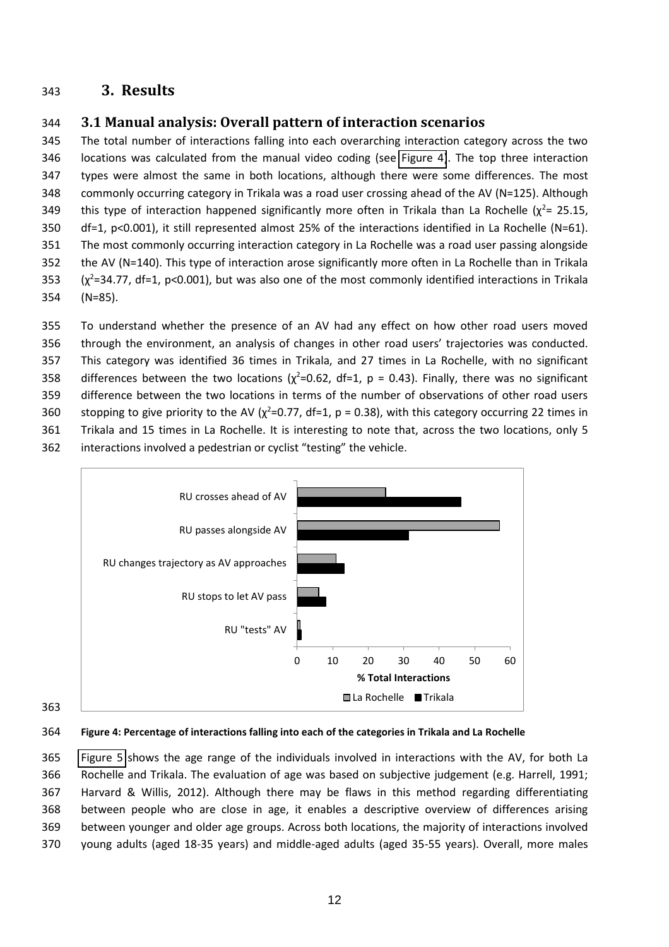# **3. Results**

# **3.1 Manual analysis: Overall pattern of interaction scenarios**

 The total number of interactions falling into each overarching interaction category across the two locations was calculated from the manual video coding (see [Figure 4\)](#page-11-0). The top three interaction types were almost the same in both locations, although there were some differences. The most commonly occurring category in Trikala was a road user crossing ahead of the AV (N=125). Although 349 this type of interaction happened significantly more often in Trikala than La Rochelle  $(\chi^2 = 25.15,$  df=1, p<0.001), it still represented almost 25% of the interactions identified in La Rochelle (N=61). The most commonly occurring interaction category in La Rochelle was a road user passing alongside the AV (N=140). This type of interaction arose significantly more often in La Rochelle than in Trikala ( $\chi^2$ =34.77, df=1, p<0.001), but was also one of the most commonly identified interactions in Trikala (N=85).

 To understand whether the presence of an AV had any effect on how other road users moved 356 through the environment, an analysis of changes in other road users' trajectories was conducted. This category was identified 36 times in Trikala, and 27 times in La Rochelle, with no significant 358 differences between the two locations ( $\chi^2$ =0.62, df=1, p = 0.43). Finally, there was no significant difference between the two locations in terms of the number of observations of other road users 360 stopping to give priority to the AV ( $\chi^2$ =0.77, df=1, p = 0.38), with this category occurring 22 times in Trikala and 15 times in La Rochelle. It is interesting to note that, across the two locations, only 5 362 interactions involved a pedestrian or cyclist "testing" the vehicle.

<span id="page-12-0"></span>

**Figure 4: Percentage of interactions falling into each of the categories in Trikala and La Rochelle** 

 [Figure 5](#page-12-0) shows the age range of the individuals involved in interactions with the AV, for both La Rochelle and Trikala. The evaluation of age was based on subjective judgement (e.g. Harrell, 1991; Harvard & Willis, 2012). Although there may be flaws in this method regarding differentiating between people who are close in age, it enables a descriptive overview of differences arising between younger and older age groups. Across both locations, the majority of interactions involved young adults (aged 18-35 years) and middle-aged adults (aged 35-55 years). Overall, more males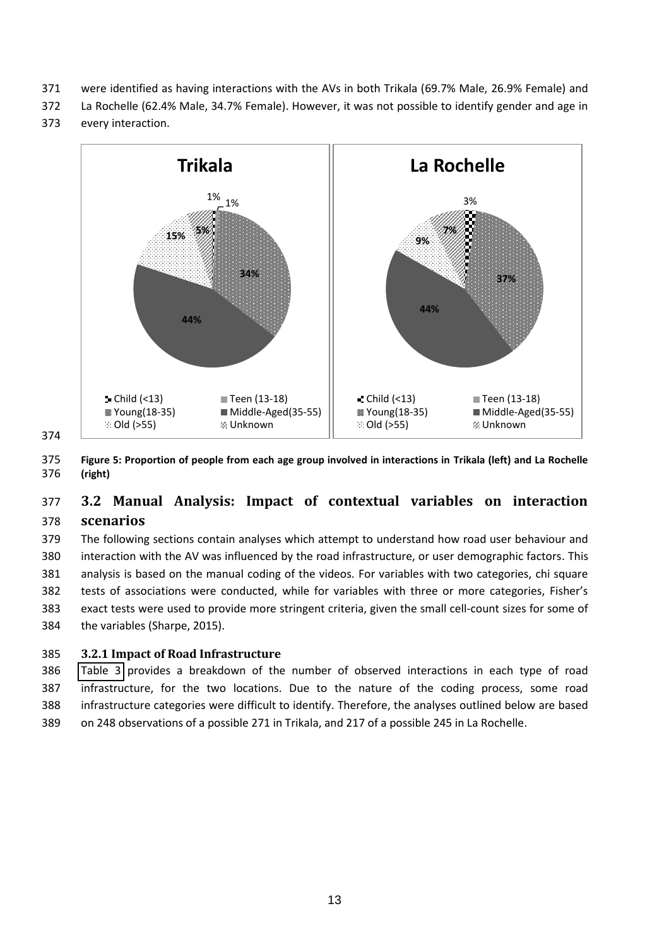- <span id="page-13-0"></span>371 were identified as having interactions with the AVs in both Trikala (69.7% Male, 26.9% Female) and
- 372 La Rochelle (62.4% Male, 34.7% Female). However, it was not possible to identify gender and age in
- 373 every interaction.



374

375 **Figure 5: Proportion of people from each age group involved in interactions in Trikala (left) and La Rochelle**  376 **(right)** 

# 377 **3.2 Manual Analysis: Impact of contextual variables on interaction**  378 **scenarios**

 The following sections contain analyses which attempt to understand how road user behaviour and interaction with the AV was influenced by the road infrastructure, or user demographic factors. This analysis is based on the manual coding of the videos. For variables with two categories, chi square 382 tests of associations were conducted, while for variables with three or more categories, Fisher's exact tests were used to provide more stringent criteria, given the small cell-count sizes for some of the variables (Sharpe, 2015).

## 385 **3.2.1 Impact of Road Infrastructure**

 [Table 3](#page-13-0) provides a breakdown of the number of observed interactions in each type of road infrastructure, for the two locations. Due to the nature of the coding process, some road infrastructure categories were difficult to identify. Therefore, the analyses outlined below are based on 248 observations of a possible 271 in Trikala, and 217 of a possible 245 in La Rochelle.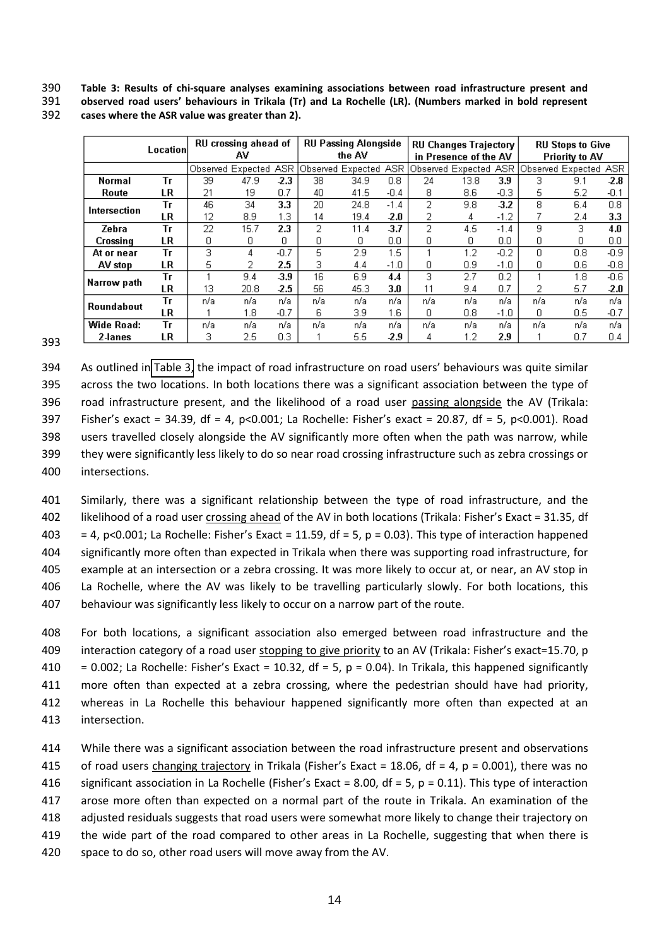**Table 3: Results of chi-square analyses examining associations between road infrastructure present and**

**observed road users' behaviours in Trikala (Tr) and La Rochelle (LR). (Numbers marked in bold represent** 

<span id="page-14-0"></span>

|               | Location |     | RU crossing ahead of<br>AV |            |     | <b>RU Passing Alongside</b><br>the AV |        |     | <b>RU Changes Trajectory</b><br>in Presence of the AV |        |                   | <b>RU Stops to Give</b><br>Priority to AV |            |  |
|---------------|----------|-----|----------------------------|------------|-----|---------------------------------------|--------|-----|-------------------------------------------------------|--------|-------------------|-------------------------------------------|------------|--|
|               |          |     | Observed Expected          | <b>ASR</b> |     | Observed Expected                     | ASR    |     | Observed Expected                                     | ASR.   | Observed Expected |                                           | <b>ASR</b> |  |
| <b>Normal</b> | Τг       | 39  | 47.9                       | -2.3       | 38  | 34.9                                  | 0.8    | 24  | 13.8                                                  | 3.9    | 3                 | 9.1                                       | $-2.8$     |  |
| Route         | LR       | 21  | 19                         | 0.7        | 40  | 41.5                                  | $-0.4$ | 8   | 8.6                                                   | $-0.3$ | 5                 | 5.2                                       | $-0.1$     |  |
| Intersection  | Τг       | 46  | 34                         | 3.3        | 20  | 24.8                                  | $-1.4$ | 2   | 9.8                                                   | 3.2    | 8                 | 6.4                                       | 0.8        |  |
|               | LR       | 12  | 8.9                        | 1.3        | 14  | 19.4                                  | -2.0   |     | 4                                                     | $-1.2$ |                   | 2.4                                       | 3.3        |  |
| Zebra         | Tг       | 22  | 15.7                       | 2.3        | 2   | 11.4                                  | -3.7   | 2   | 4.5                                                   | $-1.4$ | 9                 | 3                                         | 4.0        |  |
| Crossing      | LR       | ο   | 0                          | 0          | 0   | 0                                     | 0.0    | ۵   | Ω                                                     | 0.0    | 0                 | 0                                         | 0.0        |  |
| At or near    | Tг       | З   | 4                          | $-0.7$     | 5   | 2.9                                   | 1.5    |     | $1.2^{\circ}$                                         | $-0.2$ | O                 | 0.8                                       | $-0.9$     |  |
| AV stop       | LR       | 5   |                            | 2.5        | 3   | 4.4                                   | $-1.0$ | 0   | 0.9                                                   | $-1.0$ | 0                 | 0.6                                       | $-0.8$     |  |
| Narrow path   | Tг       |     | 9.4                        | 3.9        | 16  | 6.9                                   | 4.4    | 3   | 2.7                                                   | 0.2    |                   | 1.8                                       | $-0.6$     |  |
|               | LR       | 13  | 20.8                       | -2.5       | 56  | 45.3                                  | 3.0    | 11  | 9.4                                                   | 0.7    | 2                 | 5.7                                       | -2.0       |  |
| Roundabout    | Τг       | n/a | n/a                        | n/a        | n/a | n/a                                   | n/a    | n/a | n/a                                                   | n/a    | n/a               | n/a                                       | n/a        |  |
|               | LR       |     | 1.8                        | $-0.7$     | 6   | 3.9                                   | 1.6    | 0   | 0.8                                                   | -1.0   | 0                 | 0.5                                       | $-0.7$     |  |
| Wide Road:    | Τг       | n/a | n/a                        | n/a        | n/a | n/a                                   | n/a    | n/a | n/a                                                   | n/a    | n/a               | n/a                                       | n/a        |  |
| 2-lanes       | LR       |     | 2.5                        | 0.3        |     | 5.5                                   | -2.9   | 4   | 2. ا                                                  | 2.9    |                   | 0.7                                       | 0.4        |  |

**cases where the ASR value was greater than 2).** 

394 As outlined in [Table 3,](#page-13-0) the impact of road infrastructure on road users' behaviours was quite similar across the two locations. In both locations there was a significant association between the type of road infrastructure present, and the likelihood of a road user passing alongside the AV (Trikala: 397 Fisher's exact = 34.39, df = 4, p<0.001; La Rochelle: Fisher's exact = 20.87, df = 5, p<0.001). Road users travelled closely alongside the AV significantly more often when the path was narrow, while they were significantly less likely to do so near road crossing infrastructure such as zebra crossings or intersections.

 Similarly, there was a significant relationship between the type of road infrastructure, and the 402 likelihood of a road user crossing ahead of the AV in both locations (Trikala: Fisher's Exact = 31.35, df  $403 = 4$ , p<0.001; La Rochelle: Fisher's Exact = 11.59, df = 5, p = 0.03). This type of interaction happened significantly more often than expected in Trikala when there was supporting road infrastructure, for example at an intersection or a zebra crossing. It was more likely to occur at, or near, an AV stop in La Rochelle, where the AV was likely to be travelling particularly slowly. For both locations, this behaviour was significantly less likely to occur on a narrow part of the route.

 For both locations, a significant association also emerged between road infrastructure and the 409 interaction category of a road user stopping to give priority to an AV (Trikala: Fisher's exact=15.70, p 410 = 0.002; La Rochelle: Fisher's Exact = 10.32, df = 5, p = 0.04). In Trikala, this happened significantly more often than expected at a zebra crossing, where the pedestrian should have had priority, whereas in La Rochelle this behaviour happened significantly more often than expected at an intersection.

 While there was a significant association between the road infrastructure present and observations 415 of road users changing trajectory in Trikala (Fisher's Exact = 18.06, df = 4,  $p = 0.001$ ), there was no 416 significant association in La Rochelle (Fisher's Exact = 8.00, df = 5,  $p = 0.11$ ). This type of interaction arose more often than expected on a normal part of the route in Trikala. An examination of the adjusted residuals suggests that road users were somewhat more likely to change their trajectory on 419 the wide part of the road compared to other areas in La Rochelle, suggesting that when there is space to do so, other road users will move away from the AV.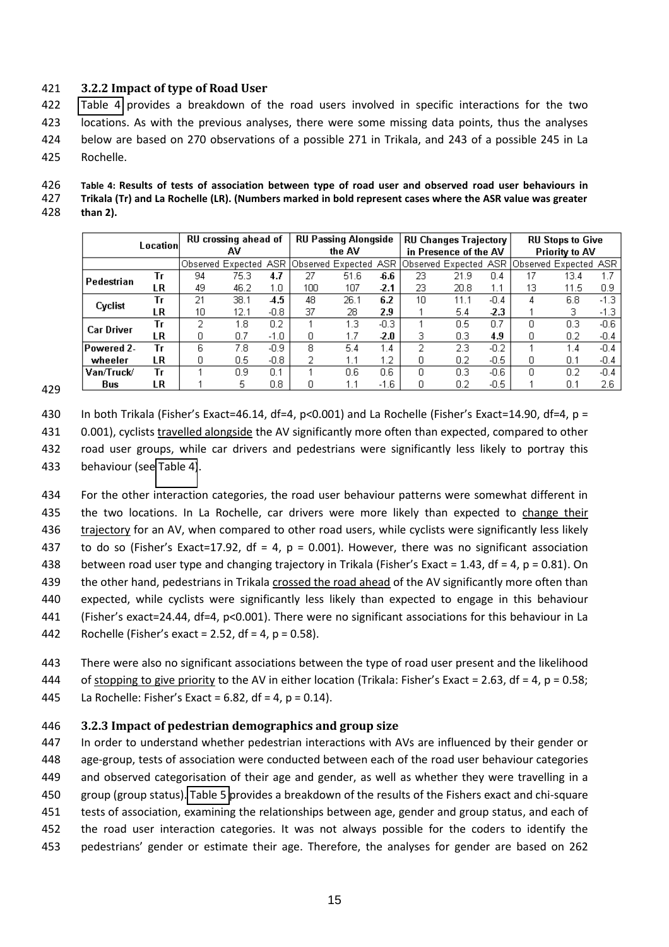#### **3.2.2 Impact of type of Road User**

<span id="page-15-0"></span> [Table 4](#page-14-0) provides a breakdown of the road users involved in specific interactions for the two locations. As with the previous analyses, there were some missing data points, thus the analyses below are based on 270 observations of a possible 271 in Trikala, and 243 of a possible 245 in La Rochelle.

# **Table 4: Results of tests of association between type of road user and observed road user behaviours in**

 **Trikala (Tr) and La Rochelle (LR). (Numbers marked in bold represent cases where the ASR value was greater than 2).**

|                   | Location |    | RU crossing ahead of  |                  |        | <b>RU Passing Alongside</b> |        |                       | <b>RU Changes Trajectory</b>                   |        |                       | <b>RU Stops to Give</b> |        |
|-------------------|----------|----|-----------------------|------------------|--------|-----------------------------|--------|-----------------------|------------------------------------------------|--------|-----------------------|-------------------------|--------|
|                   |          | AV |                       |                  | the AV |                             |        | in Presence of the AV |                                                |        | <b>Priority to AV</b> |                         |        |
|                   |          |    | Observed Expected ASR |                  |        | Observed Expected ASR.      |        |                       | Observed Expected  ASR  Observed Expected  ASR |        |                       |                         |        |
| Pedestrian        | Тr       | 94 | 75.3                  | 4.7              | 27     | 51.6                        | -6.6   | 23                    | 21.9                                           | 0.4    | 17                    | 13.4                    |        |
|                   | LR       | 49 | 46.2                  | 1.0              | 100    | 107                         | $-2.1$ | 23                    | 20.8                                           | 1.1    | 13                    | 11.5                    | 0.9    |
| Cyclist           | Тr       | 21 | 38.1                  | 4.5              | 48     | 26.1                        | 6.2    | 10                    | 11.1                                           | $-0.4$ | 4                     | 6.8                     | $-1.3$ |
|                   | LR       | 10 | 12.1                  | $-0.8$           | 37     | 28                          | 2.9    |                       | 5.4                                            | -2.3   |                       | 3                       | $-1.3$ |
| <b>Car Driver</b> | Тr       |    | 1.8                   | 0.2 <sub>2</sub> |        | 1.3                         | $-0.3$ |                       | 0.5                                            | 0.7    |                       | 0.3                     | $-0.6$ |
|                   | LR       | n  | 0.7                   | $-1.0$           | 0      |                             | $-2.0$ |                       | 0.3                                            | 4.9    | n                     | 0.2                     | $-0.4$ |
| Powered 2-        | Тr       | 6  | 7.8                   | $-0.9$           | 8.     | 5.4                         | 1.4    | ີ                     | 2.3                                            | $-0.2$ |                       | 1.4                     | $-0.4$ |
| wheeler           | LR       | 0  | 0.5                   | $-0.8$           | 2      | 1.1                         | 1.2    | Ο                     | 0.2                                            | $-0.5$ |                       | 0.1                     | $-0.4$ |
| Van/Truck/        | Тr       |    | 0.9                   | 0.1              |        | 0.6                         | 0.6    | Ω                     | 0.3                                            | $-0.6$ | Ω                     | 0.2                     | $-0.4$ |
| Bus               | LR       |    | 5                     | 0.8              |        |                             | -1.6   |                       | 0.2                                            | $-0.5$ |                       | 0.1                     | 2.6    |

430 In both Trikala (Fisher's Exact=46.14, df=4, p<0.001) and La Rochelle (Fisher's Exact=14.90, df=4, p =

431 0.001), cyclists travelled alongside the AV significantly more often than expected, compared to other

road user groups, while car drivers and pedestrians were significantly less likely to portray this

behaviour (see [Table 4\)](#page-14-0).

 For the other interaction categories, the road user behaviour patterns were somewhat different in the two locations. In La Rochelle, car drivers were more likely than expected to change their trajectory for an AV, when compared to other road users, while cyclists were significantly less likely 437 to do so (Fisher's Exact=17.92, df = 4, p = 0.001). However, there was no significant association 438 between road user type and changing trajectory in Trikala (Fisher's Exact = 1.43, df = 4, p = 0.81). On 439 the other hand, pedestrians in Trikala crossed the road ahead of the AV significantly more often than expected, while cyclists were significantly less likely than expected to engage in this behaviour 441 (Fisher's exact=24.44, df=4, p<0.001). There were no significant associations for this behaviour in La 442 Rochelle (Fisher's exact = 2.52, df = 4, p = 0.58).

 There were also no significant associations between the type of road user present and the likelihood 444 of stopping to give priority to the AV in either location (Trikala: Fisher's Exact = 2.63, df = 4, p = 0.58;

445 La Rochelle: Fisher's Exact = 6.82, df = 4,  $p = 0.14$ ).

#### **3.2.3 Impact of pedestrian demographics and group size**

 In order to understand whether pedestrian interactions with AVs are influenced by their gender or age-group, tests of association were conducted between each of the road user behaviour categories and observed categorisation of their age and gender, as well as whether they were travelling in a group (group status). [Table 5](#page-15-0) provides a breakdown of the results of the Fishers exact and chi-square tests of association, examining the relationships between age, gender and group status, and each of the road user interaction categories. It was not always possible for the coders to identify the 453 pedestrians' gender or estimate their age. Therefore, the analyses for gender are based on 262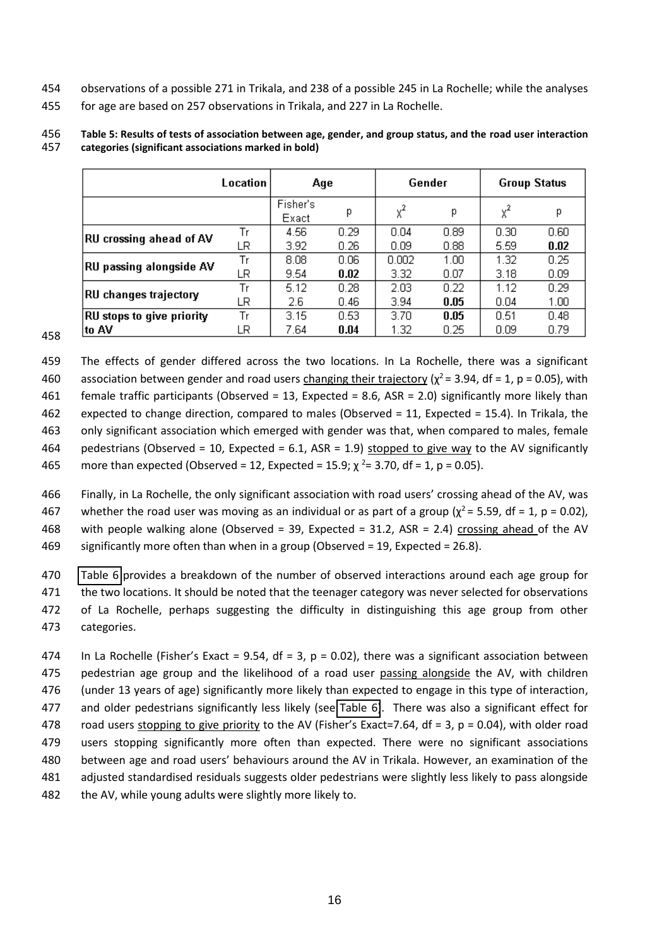- <span id="page-16-0"></span>observations of a possible 271 in Trikala, and 238 of a possible 245 in La Rochelle; while the analyses
- for age are based on 257 observations in Trikala, and 227 in La Rochelle.

#### **Table 5: Results of tests of association between age, gender, and group status, and the road user interaction categories (significant associations marked in bold)**

|                                  | Location | Age               |                   |       | Gender | <b>Group Status</b> |                   |  |
|----------------------------------|----------|-------------------|-------------------|-------|--------|---------------------|-------------------|--|
|                                  |          | Fisher's<br>Exact | р                 | $x^2$ | р      | $x^2$               | р                 |  |
| RU crossing ahead of AV          | Tr       | 4.56              | 0.29              | 0.04  | 0.89   | 0.30                | 0.60              |  |
|                                  | LR       | 3.92              | 0.26              | 0.09  | 0.88.  | 5.59                | 0.02              |  |
| RU passing alongside AV          | Tr       | 8.08              | 0.06              | 0.002 | 1.00   | 1.32                | 0.25              |  |
|                                  | LR       | 9.54              | 0.02              | 3.32  | 0.07   | 3.18                | 0.09              |  |
| RU changes trajectory            | Tr       | 5.12              | 0.28              | 2.03  | 0.22   | 1.12                | 0.29              |  |
|                                  | LR       | 2.6               | 0.46              | 3.94  | 0.05   | 0.04                | 1.00              |  |
| <b>RU</b> stops to give priority | Tr       | 3.15              | 0.53 <sub>1</sub> | 3.70  | 0.05   | 0.51                | 0.48 <sub>1</sub> |  |
| to AV                            | LR       | 7.64              | 0.04              | 1.32  | 0.25   | 0.09                | 0.79              |  |

 The effects of gender differed across the two locations. In La Rochelle, there was a significant 460 association between gender and road users changing their trajectory ( $\chi^2$  = 3.94, df = 1, p = 0.05), with female traffic participants (Observed = 13, Expected = 8.6, ASR = 2.0) significantly more likely than expected to change direction, compared to males (Observed = 11, Expected = 15.4). In Trikala, the only significant association which emerged with gender was that, when compared to males, female 464 pedestrians (Observed = 10, Expected = 6.1, ASR = 1.9) stopped to give way to the AV significantly 465 more than expected (Observed = 12, Expected = 15.9;  $\chi^2$  = 3.70, df = 1, p = 0.05).

466 Finally, in La Rochelle, the only significant association with road users' crossing ahead of the AV, was 467 whether the road user was moving as an individual or as part of a group ( $\chi^2$  = 5.59, df = 1, p = 0.02), 468 with people walking alone (Observed = 39, Expected = 31.2, ASR = 2.4) crossing ahead of the AV significantly more often than when in a group (Observed = 19, Expected = 26.8).

 [Table 6](#page-16-0) provides a breakdown of the number of observed interactions around each age group for 471 the two locations. It should be noted that the teenager category was never selected for observations of La Rochelle, perhaps suggesting the difficulty in distinguishing this age group from other categories.

474 In La Rochelle (Fisher's Exact = 9.54, df = 3, p = 0.02), there was a significant association between pedestrian age group and the likelihood of a road user passing alongside the AV, with children (under 13 years of age) significantly more likely than expected to engage in this type of interaction, and older pedestrians significantly less likely (see [Table 6\)](#page-16-0). There was also a significant effect for 478 road users stopping to give priority to the AV (Fisher's Exact=7.64, df = 3, p = 0.04), with older road users stopping significantly more often than expected. There were no significant associations 480 between age and road users' behaviours around the AV in Trikala. However, an examination of the adjusted standardised residuals suggests older pedestrians were slightly less likely to pass alongside 482 the AV, while young adults were slightly more likely to.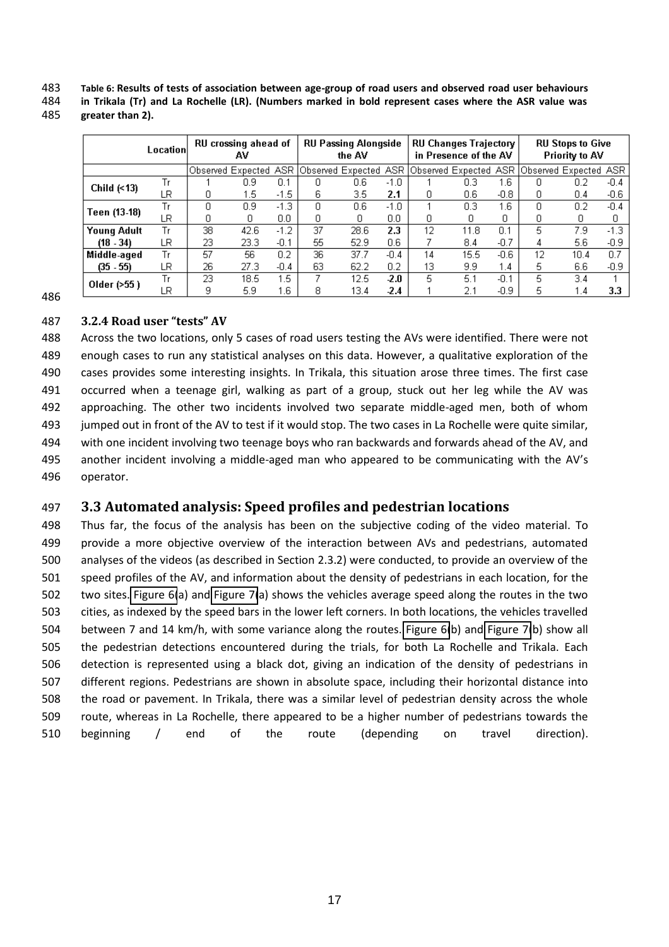**Table 6: Results of tests of association between age-group of road users and observed road user behaviours** 

**in Trikala (Tr) and La Rochelle (LR). (Numbers marked in bold represent cases where the ASR value was** 

|                    | Location | RU crossing ahead of<br>AV |                  |        | <b>RU Passing Alongside</b><br>the AV |                                             |        | <b>RU Changes Trajectory</b><br>in Presence of the AV |      |        | <b>RU Stops to Give</b><br><b>Priority to AV</b> |                                             |        |
|--------------------|----------|----------------------------|------------------|--------|---------------------------------------|---------------------------------------------|--------|-------------------------------------------------------|------|--------|--------------------------------------------------|---------------------------------------------|--------|
|                    |          |                            |                  |        |                                       | Observed Expected ASR Observed Expected ASR |        |                                                       |      |        |                                                  | Observed Expected ASR Observed Expected ASR |        |
|                    | Tr       |                            | 0.9              | 0.1    | Ο                                     | 0.6                                         | $-1.0$ |                                                       | 0.3  | 1.6    | ο                                                | 0.2                                         | $-0.4$ |
| Child $($ <13)     | LR       | ۵                          | 1.5 <sub>1</sub> | $-1.5$ | 6                                     | 3.5                                         | 2.1    |                                                       | 0.6  | $-0.8$ | 0                                                | 0.4                                         | $-0.6$ |
| Teen (13-18)       | Tr       | n                          | 0.9              | $-1.3$ | 0.                                    | 0.6                                         | $-1.0$ |                                                       | 0.3  | 1.6    | n                                                | 0.2                                         | $-0.4$ |
|                    | LR       | Ο                          |                  | 0.0    | 0                                     | n                                           | 0.0    | n                                                     | n    | 0      | 0                                                | 0                                           |        |
| <b>Young Adult</b> | Tr       | 38                         | 42.6             | $-1.2$ | 37                                    | 28.6                                        | 2.3    | 12                                                    | 11.8 | 0.1    | 5                                                | 7.9                                         | $-1.3$ |
| $(18 - 34)$        | LR       | 23                         | 23.3             | $-0.1$ | 55                                    | 52.9                                        | 0.6    |                                                       | 8.4  | -0.7   | 4                                                | 5.6                                         | -0.9   |
| Middle-aged        | Tr       | 57                         | 56.              | 0.2    | 36                                    | 37.7                                        | $-0.4$ | 14                                                    | 15.5 | $-0.6$ | 12                                               | 10.4                                        | 0.7    |
| $(35 - 55)$        | LR       | 26                         | 27.3             | $-0.4$ | 63                                    | 62.2                                        | 0.2    | 13                                                    | 9.9  | 1.4    | 5                                                | 6.6                                         | $-0.9$ |
|                    | Tr       | 23                         | 18.5             | 1.5    |                                       | 12.5                                        | 2.0    | 5                                                     | 5.1  | $-0.1$ | 5                                                | 3.4                                         |        |
| Older (>55)        | LR.      | 9                          | 5.9              | 1.6    | 8                                     | 13.4                                        | -2.4   |                                                       | 2.1  | -0.9   | 5                                                | 1.4                                         | 3.3    |

**greater than 2).** 

## **3.2.4 Road user "tests" AV**

 Across the two locations, only 5 cases of road users testing the AVs were identified. There were not enough cases to run any statistical analyses on this data. However, a qualitative exploration of the cases provides some interesting insights. In Trikala, this situation arose three times. The first case occurred when a teenage girl, walking as part of a group, stuck out her leg while the AV was approaching. The other two incidents involved two separate middle-aged men, both of whom jumped out in front of the AV to test if it would stop. The two cases in La Rochelle were quite similar, with one incident involving two teenage boys who ran backwards and forwards ahead of the AV, and 495 another incident involving a middle-aged man who appeared to be communicating with the AV's operator.

# **3.3 Automated analysis: Speed profiles and pedestrian locations**

<span id="page-17-0"></span> Thus far, the focus of the analysis has been on the subjective coding of the video material. To provide a more objective overview of the interaction between AVs and pedestrians, automated analyses of the videos (as described in Section 2.3.2) were conducted, to provide an overview of the speed profiles of the AV, and information about the density of pedestrians in each location, for the two sites. [Figure 6\(](#page-17-0)a) and [Figure 7\(](#page-18-0)a) shows the vehicles average speed along the routes in the two cities, as indexed by the speed bars in the lower left corners. In both locations, the vehicles travelled between 7 and 14 km/h, with some variance along the routes. [Figure 6\(](#page-17-0)b) and [Figure 7\(](#page-18-0)b) show all the pedestrian detections encountered during the trials, for both La Rochelle and Trikala. Each detection is represented using a black dot, giving an indication of the density of pedestrians in different regions. Pedestrians are shown in absolute space, including their horizontal distance into the road or pavement. In Trikala, there was a similar level of pedestrian density across the whole route, whereas in La Rochelle, there appeared to be a higher number of pedestrians towards the beginning / end of the route (depending on travel direction).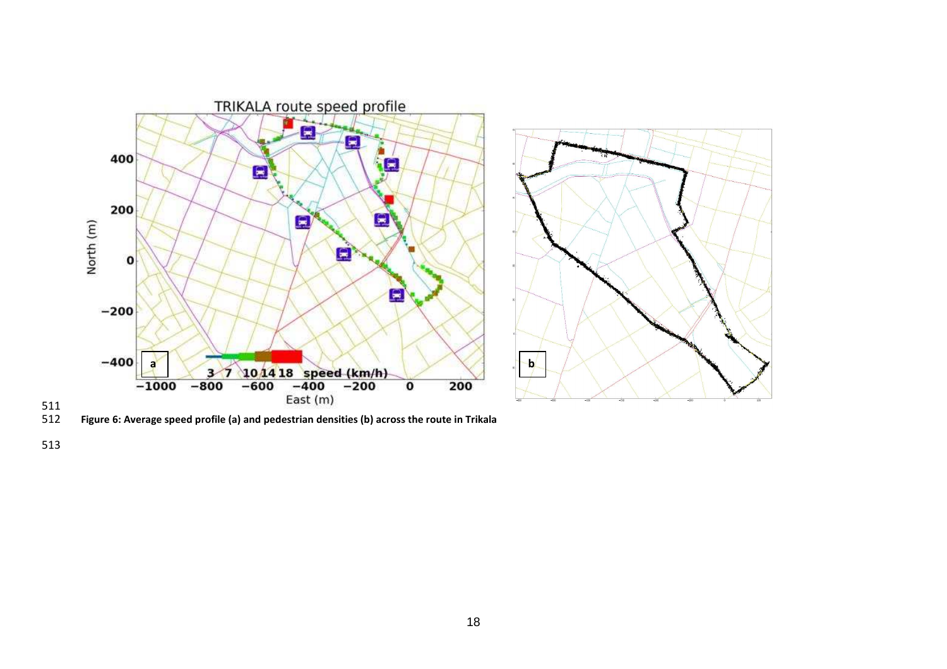



**Figure 6: Average speed profile (a) and pedestrian densities (b) across the route in Trikala** 

<span id="page-18-0"></span>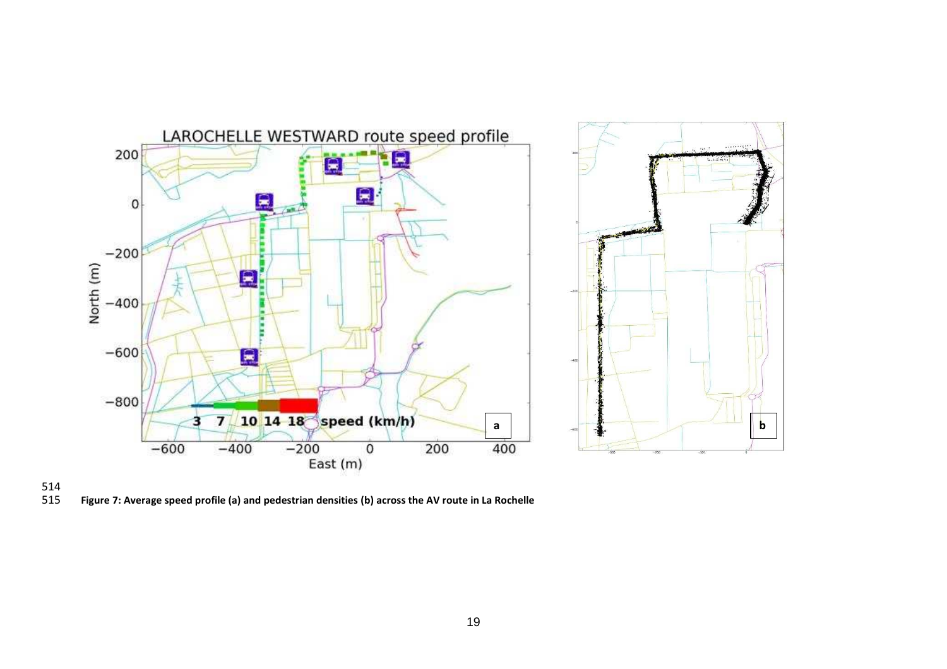





**Figure 7: Average speed profile (a) and pedestrian densities (b) across the AV route in La Rochelle**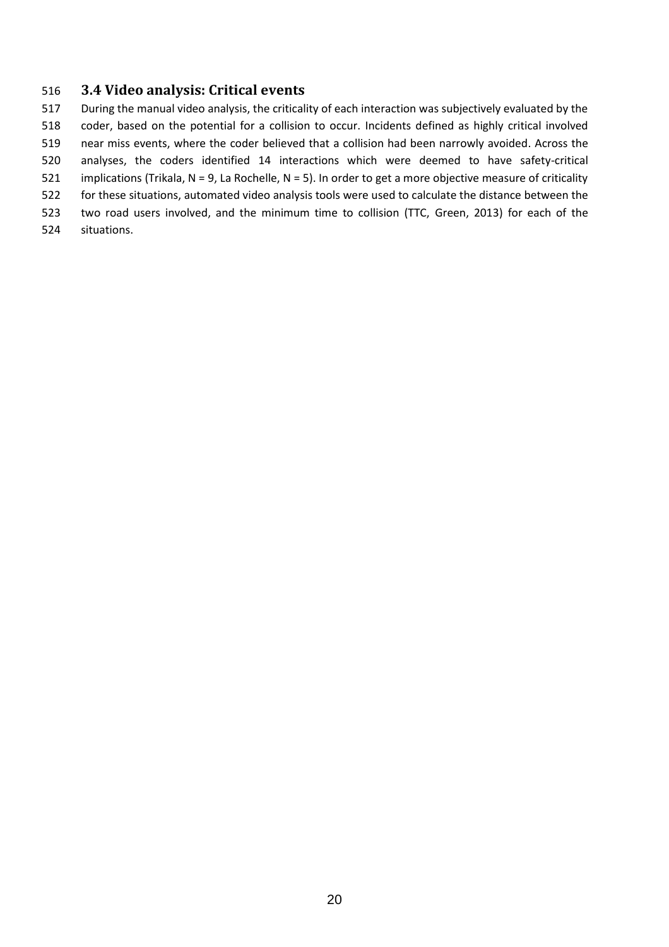# <span id="page-20-0"></span>**3.4 Video analysis: Critical events**

 During the manual video analysis, the criticality of each interaction was subjectively evaluated by the coder, based on the potential for a collision to occur. Incidents defined as highly critical involved near miss events, where the coder believed that a collision had been narrowly avoided. Across the analyses, the coders identified 14 interactions which were deemed to have safety-critical implications (Trikala, N = 9, La Rochelle, N = 5). In order to get a more objective measure of criticality for these situations, automated video analysis tools were used to calculate the distance between the two road users involved, and the minimum time to collision (TTC, Green, 2013) for each of the situations.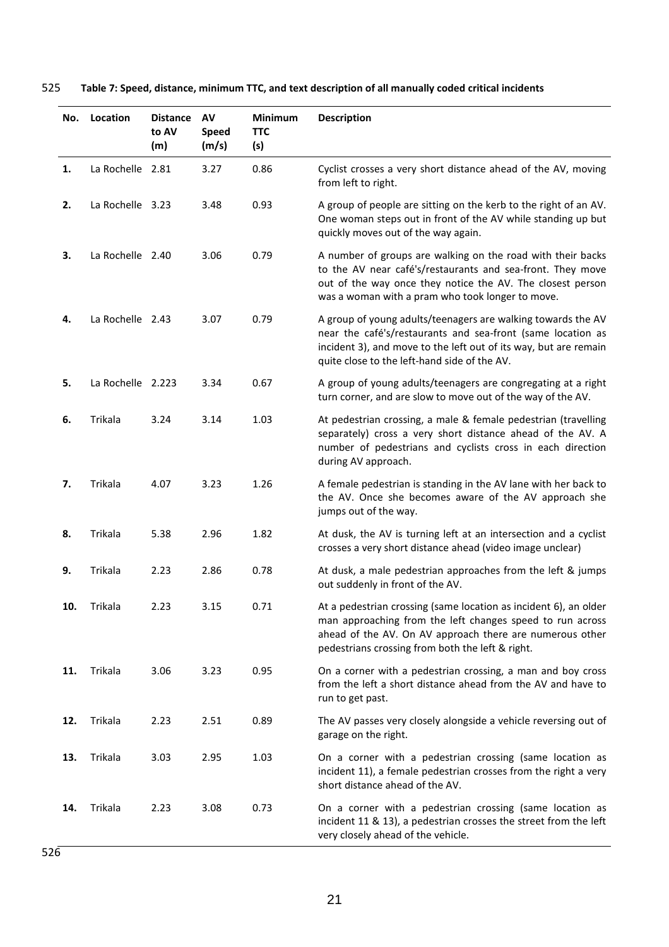# 525 **Table 7: Speed, distance, minimum TTC, and text description of all manually coded critical incidents**

| No. | Location          | <b>Distance</b><br>to AV<br>(m) | AV<br>Speed<br>(m/s) | <b>Minimum</b><br><b>TTC</b><br>(s) | <b>Description</b>                                                                                                                                                                                                                              |
|-----|-------------------|---------------------------------|----------------------|-------------------------------------|-------------------------------------------------------------------------------------------------------------------------------------------------------------------------------------------------------------------------------------------------|
| 1.  | La Rochelle 2.81  |                                 | 3.27                 | 0.86                                | Cyclist crosses a very short distance ahead of the AV, moving<br>from left to right.                                                                                                                                                            |
| 2.  | La Rochelle 3.23  |                                 | 3.48                 | 0.93                                | A group of people are sitting on the kerb to the right of an AV.<br>One woman steps out in front of the AV while standing up but<br>quickly moves out of the way again.                                                                         |
| 3.  | La Rochelle 2.40  |                                 | 3.06                 | 0.79                                | A number of groups are walking on the road with their backs<br>to the AV near café's/restaurants and sea-front. They move<br>out of the way once they notice the AV. The closest person<br>was a woman with a pram who took longer to move.     |
| 4.  | La Rochelle 2.43  |                                 | 3.07                 | 0.79                                | A group of young adults/teenagers are walking towards the AV<br>near the café's/restaurants and sea-front (same location as<br>incident 3), and move to the left out of its way, but are remain<br>quite close to the left-hand side of the AV. |
| 5.  | La Rochelle 2.223 |                                 | 3.34                 | 0.67                                | A group of young adults/teenagers are congregating at a right<br>turn corner, and are slow to move out of the way of the AV.                                                                                                                    |
| 6.  | Trikala           | 3.24                            | 3.14                 | 1.03                                | At pedestrian crossing, a male & female pedestrian (travelling<br>separately) cross a very short distance ahead of the AV. A<br>number of pedestrians and cyclists cross in each direction<br>during AV approach.                               |
| 7.  | Trikala           | 4.07                            | 3.23                 | 1.26                                | A female pedestrian is standing in the AV lane with her back to<br>the AV. Once she becomes aware of the AV approach she<br>jumps out of the way.                                                                                               |
| 8.  | Trikala           | 5.38                            | 2.96                 | 1.82                                | At dusk, the AV is turning left at an intersection and a cyclist<br>crosses a very short distance ahead (video image unclear)                                                                                                                   |
| 9.  | Trikala           | 2.23                            | 2.86                 | 0.78                                | At dusk, a male pedestrian approaches from the left & jumps<br>out suddenly in front of the AV.                                                                                                                                                 |
|     | Trikala           | 2.23                            | 3.15                 | 0.71                                | At a pedestrian crossing (same location as incident 6), an older<br>man approaching from the left changes speed to run across<br>ahead of the AV. On AV approach there are numerous other<br>pedestrians crossing from both the left & right.   |
| 11. | Trikala           | 3.06                            | 3.23                 | 0.95                                | On a corner with a pedestrian crossing, a man and boy cross<br>from the left a short distance ahead from the AV and have to<br>run to get past.                                                                                                 |
| 12. | Trikala           | 2.23                            | 2.51                 | 0.89                                | The AV passes very closely alongside a vehicle reversing out of<br>garage on the right.                                                                                                                                                         |
| 13. | Trikala           | 3.03                            | 2.95                 | 1.03                                | On a corner with a pedestrian crossing (same location as<br>incident 11), a female pedestrian crosses from the right a very<br>short distance ahead of the AV.                                                                                  |
| 14. | Trikala           | 2.23                            | 3.08                 | 0.73                                | On a corner with a pedestrian crossing (same location as<br>incident 11 & 13), a pedestrian crosses the street from the left<br>very closely ahead of the vehicle.                                                                              |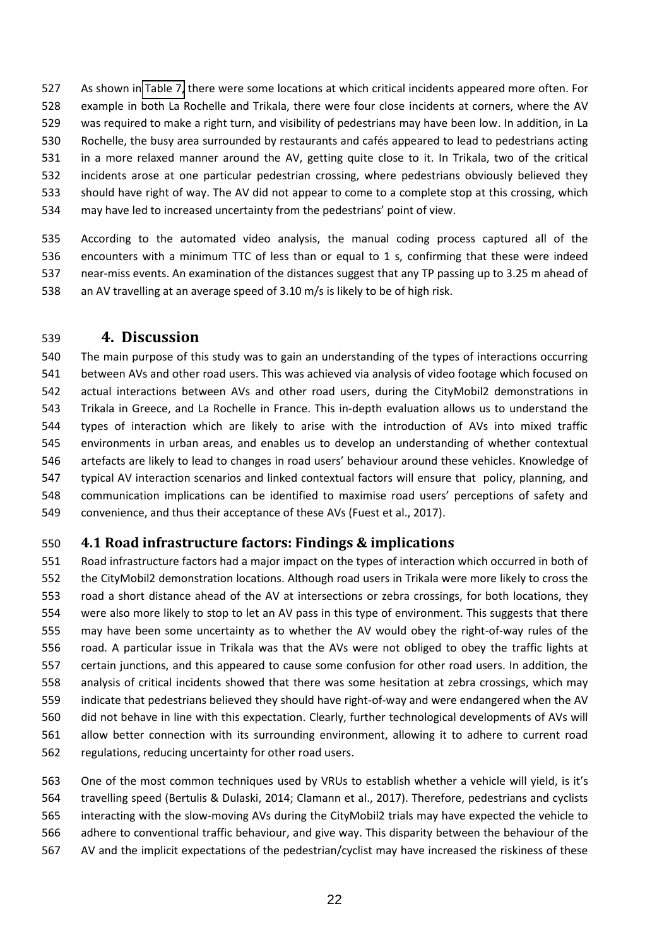As shown in [Table 7,](#page-20-0) there were some locations at which critical incidents appeared more often. For example in both La Rochelle and Trikala, there were four close incidents at corners, where the AV was required to make a right turn, and visibility of pedestrians may have been low. In addition, in La 530 Rochelle, the busy area surrounded by restaurants and cafés appeared to lead to pedestrians acting in a more relaxed manner around the AV, getting quite close to it. In Trikala, two of the critical incidents arose at one particular pedestrian crossing, where pedestrians obviously believed they should have right of way. The AV did not appear to come to a complete stop at this crossing, which

534 may have led to increased uncertainty from the pedestrians' point of view.

 According to the automated video analysis, the manual coding process captured all of the encounters with a minimum TTC of less than or equal to 1 s, confirming that these were indeed near-miss events. An examination of the distances suggest that any TP passing up to 3.25 m ahead of an AV travelling at an average speed of 3.10 m/s is likely to be of high risk.

# **4. Discussion**

 The main purpose of this study was to gain an understanding of the types of interactions occurring between AVs and other road users. This was achieved via analysis of video footage which focused on actual interactions between AVs and other road users, during the CityMobil2 demonstrations in Trikala in Greece, and La Rochelle in France. This in-depth evaluation allows us to understand the types of interaction which are likely to arise with the introduction of AVs into mixed traffic environments in urban areas, and enables us to develop an understanding of whether contextual 546 artefacts are likely to lead to changes in road users' behaviour around these vehicles. Knowledge of typical AV interaction scenarios and linked contextual factors will ensure that policy, planning, and 548 communication implications can be identified to maximise road users' perceptions of safety and convenience, and thus their acceptance of these AVs (Fuest et al., 2017).

# **4.1 Road infrastructure factors: Findings & implications**

 Road infrastructure factors had a major impact on the types of interaction which occurred in both of the CityMobil2 demonstration locations. Although road users in Trikala were more likely to cross the road a short distance ahead of the AV at intersections or zebra crossings, for both locations, they were also more likely to stop to let an AV pass in this type of environment. This suggests that there may have been some uncertainty as to whether the AV would obey the right-of-way rules of the road. A particular issue in Trikala was that the AVs were not obliged to obey the traffic lights at certain junctions, and this appeared to cause some confusion for other road users. In addition, the analysis of critical incidents showed that there was some hesitation at zebra crossings, which may indicate that pedestrians believed they should have right-of-way and were endangered when the AV did not behave in line with this expectation. Clearly, further technological developments of AVs will allow better connection with its surrounding environment, allowing it to adhere to current road regulations, reducing uncertainty for other road users.

563 One of the most common techniques used by VRUs to establish whether a vehicle will yield, is it's travelling speed (Bertulis & Dulaski, 2014; Clamann et al., 2017). Therefore, pedestrians and cyclists interacting with the slow-moving AVs during the CityMobil2 trials may have expected the vehicle to adhere to conventional traffic behaviour, and give way. This disparity between the behaviour of the AV and the implicit expectations of the pedestrian/cyclist may have increased the riskiness of these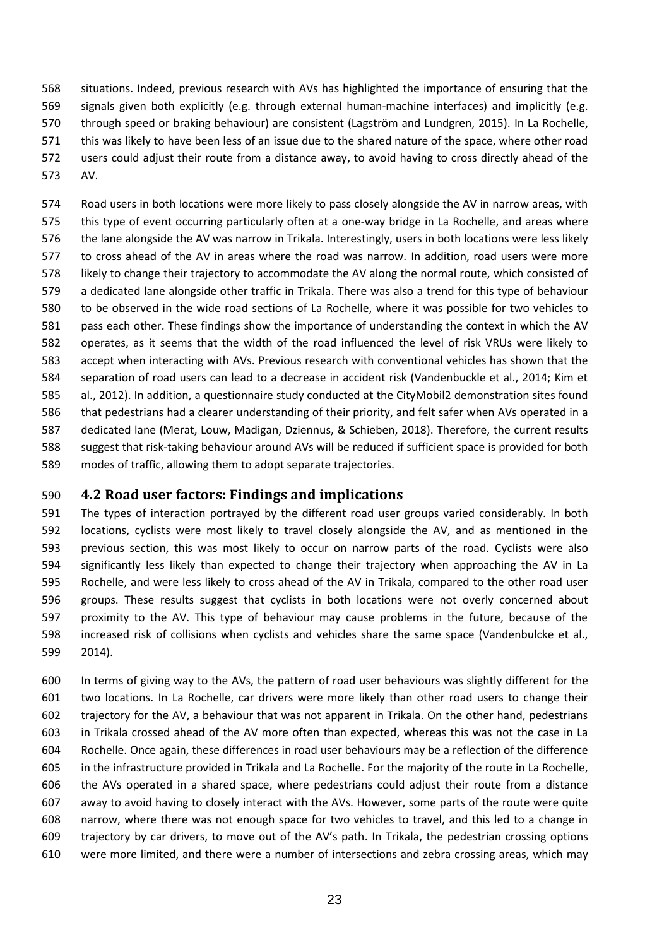situations. Indeed, previous research with AVs has highlighted the importance of ensuring that the signals given both explicitly (e.g. through external human-machine interfaces) and implicitly (e.g. 570 through speed or braking behaviour) are consistent (Lagström and Lundgren, 2015). In La Rochelle, this was likely to have been less of an issue due to the shared nature of the space, where other road users could adjust their route from a distance away, to avoid having to cross directly ahead of the AV.

 Road users in both locations were more likely to pass closely alongside the AV in narrow areas, with this type of event occurring particularly often at a one-way bridge in La Rochelle, and areas where the lane alongside the AV was narrow in Trikala. Interestingly, users in both locations were less likely to cross ahead of the AV in areas where the road was narrow. In addition, road users were more likely to change their trajectory to accommodate the AV along the normal route, which consisted of a dedicated lane alongside other traffic in Trikala. There was also a trend for this type of behaviour to be observed in the wide road sections of La Rochelle, where it was possible for two vehicles to pass each other. These findings show the importance of understanding the context in which the AV operates, as it seems that the width of the road influenced the level of risk VRUs were likely to accept when interacting with AVs. Previous research with conventional vehicles has shown that the separation of road users can lead to a decrease in accident risk (Vandenbuckle et al., 2014; Kim et al., 2012). In addition, a questionnaire study conducted at the CityMobil2 demonstration sites found that pedestrians had a clearer understanding of their priority, and felt safer when AVs operated in a dedicated lane (Merat, Louw, Madigan, Dziennus, & Schieben, 2018). Therefore, the current results suggest that risk-taking behaviour around AVs will be reduced if sufficient space is provided for both modes of traffic, allowing them to adopt separate trajectories.

# **4.2 Road user factors: Findings and implications**

 The types of interaction portrayed by the different road user groups varied considerably. In both locations, cyclists were most likely to travel closely alongside the AV, and as mentioned in the previous section, this was most likely to occur on narrow parts of the road. Cyclists were also significantly less likely than expected to change their trajectory when approaching the AV in La Rochelle, and were less likely to cross ahead of the AV in Trikala, compared to the other road user groups. These results suggest that cyclists in both locations were not overly concerned about proximity to the AV. This type of behaviour may cause problems in the future, because of the increased risk of collisions when cyclists and vehicles share the same space (Vandenbulcke et al., 2014).

 In terms of giving way to the AVs, the pattern of road user behaviours was slightly different for the two locations. In La Rochelle, car drivers were more likely than other road users to change their trajectory for the AV, a behaviour that was not apparent in Trikala. On the other hand, pedestrians in Trikala crossed ahead of the AV more often than expected, whereas this was not the case in La Rochelle. Once again, these differences in road user behaviours may be a reflection of the difference in the infrastructure provided in Trikala and La Rochelle. For the majority of the route in La Rochelle, the AVs operated in a shared space, where pedestrians could adjust their route from a distance away to avoid having to closely interact with the AVs. However, some parts of the route were quite narrow, where there was not enough space for two vehicles to travel, and this led to a change in 609 trajectory by car drivers, to move out of the AV's path. In Trikala, the pedestrian crossing options were more limited, and there were a number of intersections and zebra crossing areas, which may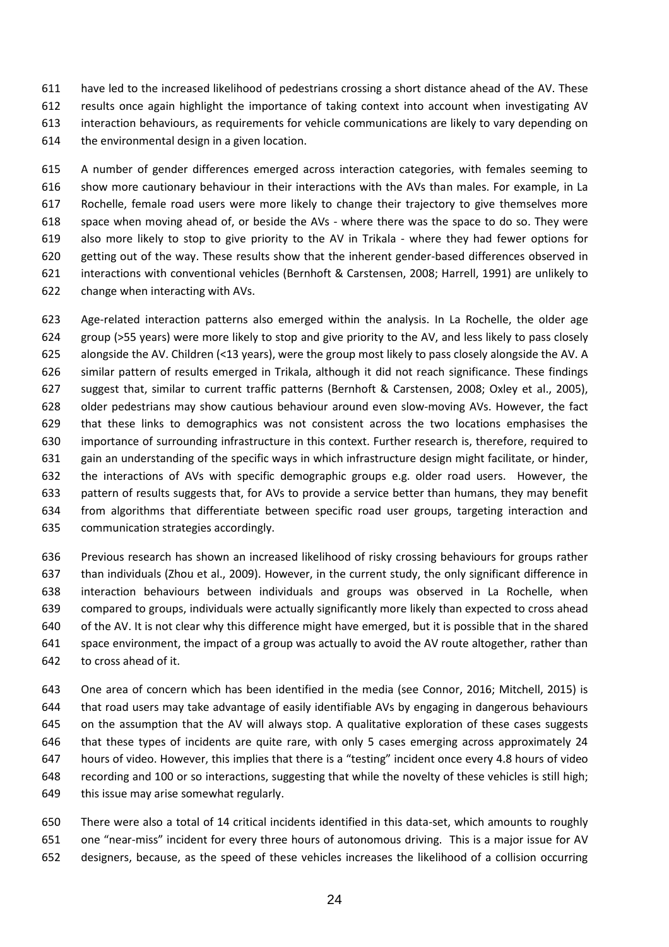have led to the increased likelihood of pedestrians crossing a short distance ahead of the AV. These results once again highlight the importance of taking context into account when investigating AV interaction behaviours, as requirements for vehicle communications are likely to vary depending on the environmental design in a given location.

 A number of gender differences emerged across interaction categories, with females seeming to show more cautionary behaviour in their interactions with the AVs than males. For example, in La Rochelle, female road users were more likely to change their trajectory to give themselves more space when moving ahead of, or beside the AVs - where there was the space to do so. They were also more likely to stop to give priority to the AV in Trikala - where they had fewer options for getting out of the way. These results show that the inherent gender-based differences observed in interactions with conventional vehicles (Bernhoft & Carstensen, 2008; Harrell, 1991) are unlikely to change when interacting with AVs.

 Age-related interaction patterns also emerged within the analysis. In La Rochelle, the older age group (>55 years) were more likely to stop and give priority to the AV, and less likely to pass closely alongside the AV. Children (<13 years), were the group most likely to pass closely alongside the AV. A similar pattern of results emerged in Trikala, although it did not reach significance. These findings suggest that, similar to current traffic patterns (Bernhoft & Carstensen, 2008; Oxley et al., 2005), older pedestrians may show cautious behaviour around even slow-moving AVs. However, the fact that these links to demographics was not consistent across the two locations emphasises the importance of surrounding infrastructure in this context. Further research is, therefore, required to gain an understanding of the specific ways in which infrastructure design might facilitate, or hinder, the interactions of AVs with specific demographic groups e.g. older road users. However, the pattern of results suggests that, for AVs to provide a service better than humans, they may benefit from algorithms that differentiate between specific road user groups, targeting interaction and communication strategies accordingly.

 Previous research has shown an increased likelihood of risky crossing behaviours for groups rather than individuals (Zhou et al., 2009). However, in the current study, the only significant difference in interaction behaviours between individuals and groups was observed in La Rochelle, when compared to groups, individuals were actually significantly more likely than expected to cross ahead of the AV. It is not clear why this difference might have emerged, but it is possible that in the shared 641 space environment, the impact of a group was actually to avoid the AV route altogether, rather than to cross ahead of it.

 One area of concern which has been identified in the media (see Connor, 2016; Mitchell, 2015) is that road users may take advantage of easily identifiable AVs by engaging in dangerous behaviours on the assumption that the AV will always stop. A qualitative exploration of these cases suggests that these types of incidents are quite rare, with only 5 cases emerging across approximately 24 647 hours of video. However, this implies that there is a "testing" incident once every 4.8 hours of video recording and 100 or so interactions, suggesting that while the novelty of these vehicles is still high; this issue may arise somewhat regularly.

 There were also a total of 14 critical incidents identified in this data-set, which amounts to roughly 651 one "near-miss" incident for every three hours of autonomous driving. This is a major issue for AV designers, because, as the speed of these vehicles increases the likelihood of a collision occurring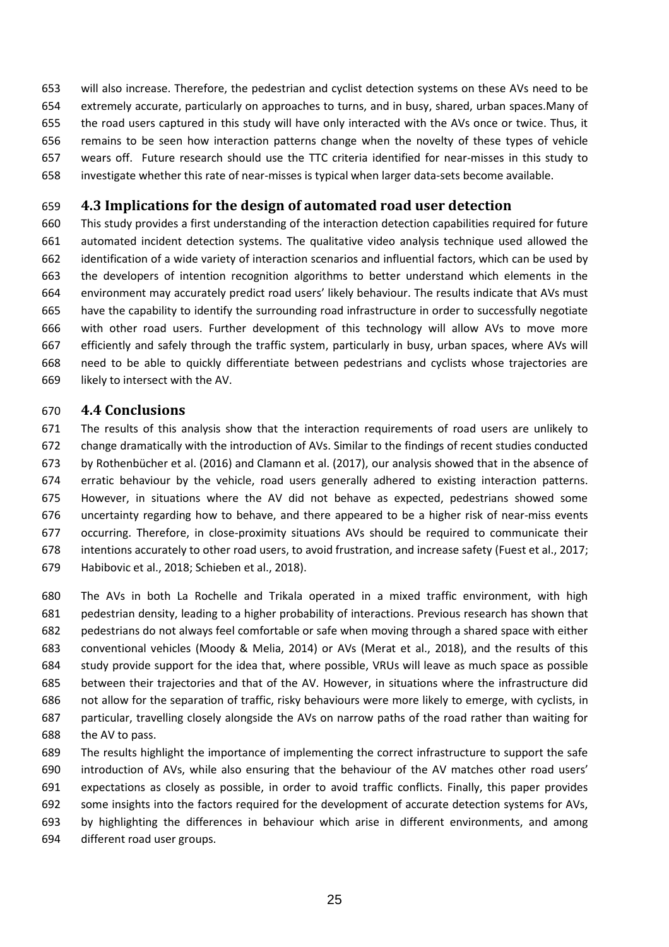will also increase. Therefore, the pedestrian and cyclist detection systems on these AVs need to be extremely accurate, particularly on approaches to turns, and in busy, shared, urban spaces.Many of the road users captured in this study will have only interacted with the AVs once or twice. Thus, it remains to be seen how interaction patterns change when the novelty of these types of vehicle wears off. Future research should use the TTC criteria identified for near-misses in this study to investigate whether this rate of near-misses is typical when larger data-sets become available.

# **4.3 Implications for the design of automated road user detection**

 This study provides a first understanding of the interaction detection capabilities required for future automated incident detection systems. The qualitative video analysis technique used allowed the identification of a wide variety of interaction scenarios and influential factors, which can be used by the developers of intention recognition algorithms to better understand which elements in the 664 environment may accurately predict road users' likely behaviour. The results indicate that AVs must have the capability to identify the surrounding road infrastructure in order to successfully negotiate with other road users. Further development of this technology will allow AVs to move more efficiently and safely through the traffic system, particularly in busy, urban spaces, where AVs will need to be able to quickly differentiate between pedestrians and cyclists whose trajectories are likely to intersect with the AV.

## **4.4 Conclusions**

 The results of this analysis show that the interaction requirements of road users are unlikely to change dramatically with the introduction of AVs. Similar to the findings of recent studies conducted 673 by Rothenbücher et al. (2016) and Clamann et al. (2017), our analysis showed that in the absence of erratic behaviour by the vehicle, road users generally adhered to existing interaction patterns. However, in situations where the AV did not behave as expected, pedestrians showed some uncertainty regarding how to behave, and there appeared to be a higher risk of near-miss events occurring. Therefore, in close-proximity situations AVs should be required to communicate their intentions accurately to other road users, to avoid frustration, and increase safety (Fuest et al., 2017; Habibovic et al., 2018; Schieben et al., 2018).

 The AVs in both La Rochelle and Trikala operated in a mixed traffic environment, with high pedestrian density, leading to a higher probability of interactions. Previous research has shown that pedestrians do not always feel comfortable or safe when moving through a shared space with either conventional vehicles (Moody & Melia, 2014) or AVs (Merat et al., 2018), and the results of this study provide support for the idea that, where possible, VRUs will leave as much space as possible between their trajectories and that of the AV. However, in situations where the infrastructure did not allow for the separation of traffic, risky behaviours were more likely to emerge, with cyclists, in particular, travelling closely alongside the AVs on narrow paths of the road rather than waiting for the AV to pass.

 The results highlight the importance of implementing the correct infrastructure to support the safe 690 introduction of AVs, while also ensuring that the behaviour of the AV matches other road users' expectations as closely as possible, in order to avoid traffic conflicts. Finally, this paper provides some insights into the factors required for the development of accurate detection systems for AVs, by highlighting the differences in behaviour which arise in different environments, and among different road user groups.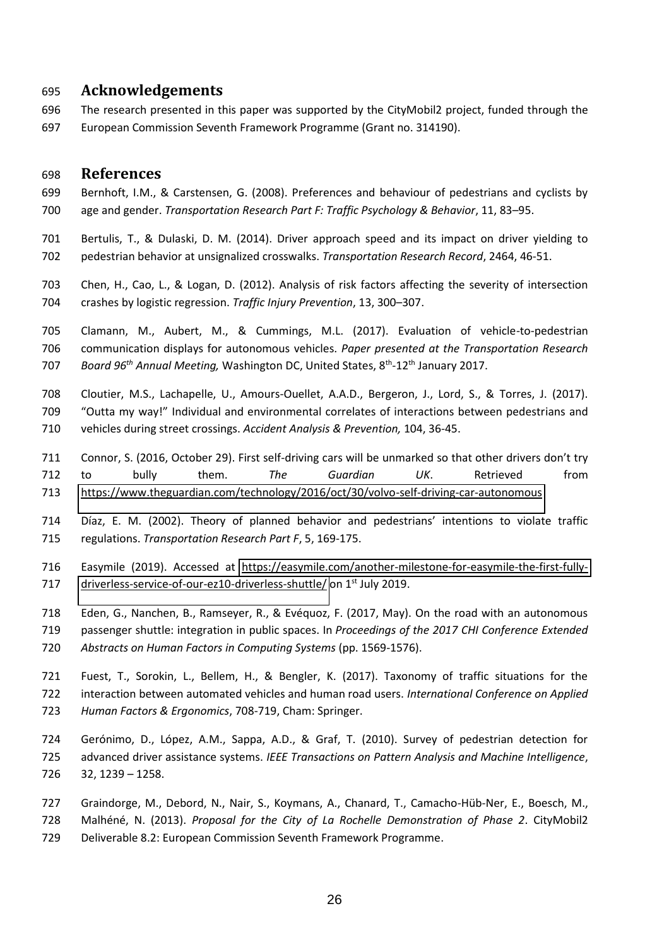## **Acknowledgements**

 The research presented in this paper was supported by the CityMobil2 project, funded through the European Commission Seventh Framework Programme (Grant no. 314190).

## **References**

- Bernhoft, I.M., & Carstensen, G. (2008). Preferences and behaviour of pedestrians and cyclists by 700 age and gender. *Transportation Research Part F: Traffic Psychology & Behavior*, 11, 83–95.
- Bertulis, T., & Dulaski, D. M. (2014). Driver approach speed and its impact on driver yielding to pedestrian behavior at unsignalized crosswalks. *Transportation Research Record*, 2464, 46-51.
- Chen, H., Cao, L., & Logan, D. (2012). Analysis of risk factors affecting the severity of intersection 704 crashes by logistic regression. *Traffic Injury Prevention*, 13, 300-307.
- Clamann, M., Aubert, M., & Cummings, M.L. (2017). Evaluation of vehicle-to-pedestrian communication displays for autonomous vehicles. *Paper presented at the Transportation Research*  707 Board 96<sup>th</sup> Annual Meeting, Washington DC, United States, 8<sup>th</sup>-12<sup>th</sup> January 2017.
- Cloutier, M.S., Lachapelle, U., Amours-Ouellet, A.A.D., Bergeron, J., Lord, S., & Torres, J. (2017). 709 "Outta my way!" Individual and environmental correlates of interactions between pedestrians and vehicles during street crossings. *Accident Analysis & Prevention,* 104, 36-45.
- 711 Connor, S. (2016, October 29). First self-driving cars will be unmarked so that other drivers don't try to bully them. *The Guardian UK*. Retrieved from <https://www.theguardian.com/technology/2016/oct/30/volvo-self-driving-car-autonomous>
- 714 Díaz, E. M. (2002). Theory of planned behavior and pedestrians' intentions to violate traffic regulations. *Transportation Research Part F*, 5, 169-175.
- Easymile (2019). Accessed at [https://easymile.com/another-milestone-for-easymile-the-first-fully-](https://easymile.com/another-milestone-for-easymile-the-first-fully-driverless-service-of-our-ez10-driverless-shuttle/)717 driverless-service-of-our-ez10-driverless-shuttle/ on 1<sup>st</sup> July 2019.
- Eden, G., Nanchen, B., Ramseyer, R., & EvÈquoz, F. (2017, May). On the road with an autonomous passenger shuttle: integration in public spaces. In *Proceedings of the 2017 CHI Conference Extended Abstracts on Human Factors in Computing Systems* (pp. 1569-1576).
- Fuest, T., Sorokin, L., Bellem, H., & Bengler, K. (2017). Taxonomy of traffic situations for the interaction between automated vehicles and human road users. *International Conference on Applied Human Factors & Ergonomics*, 708-719, Cham: Springer.
- 724 Gerónimo, D., López, A.M., Sappa, A.D., & Graf, T. (2010). Survey of pedestrian detection for advanced driver assistance systems. *IEEE Transactions on Pattern Analysis and Machine Intelligence*,  $32, 1239 - 1258.$
- 727 Graindorge, M., Debord, N., Nair, S., Koymans, A., Chanard, T., Camacho-Hüb-Ner, E., Boesch, M.,
- MalhÈnÈ, N. (2013). *Proposal for the City of La Rochelle Demonstration of Phase 2*. CityMobil2 Deliverable 8.2: European Commission Seventh Framework Programme.
	-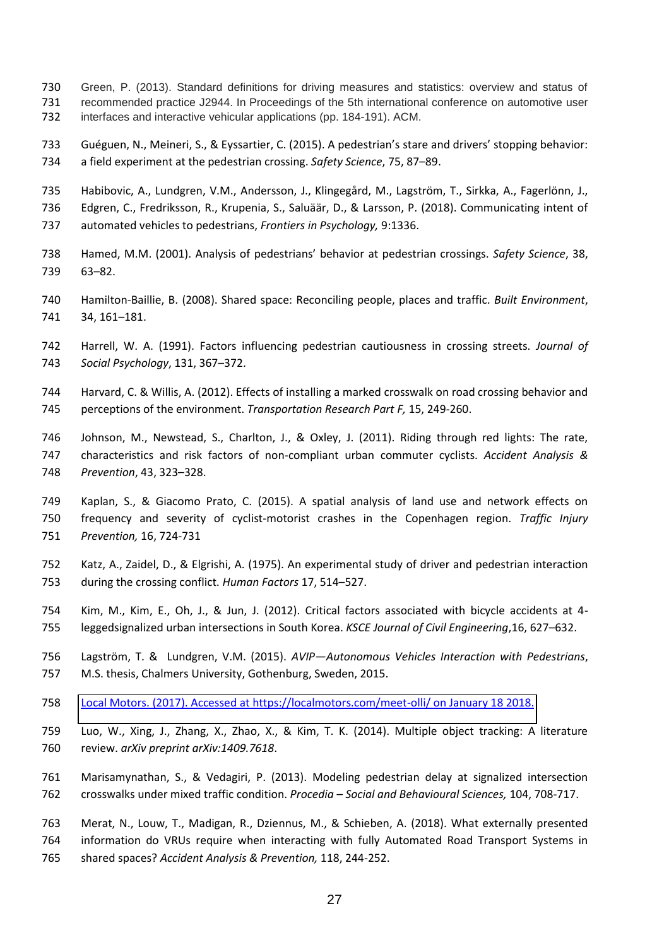- Green, P. (2013). Standard definitions for driving measures and statistics: overview and status of recommended practice J2944. In Proceedings of the 5th international conference on automotive user interfaces and interactive vehicular applications (pp. 184-191). ACM.
- 733 Guéguen, N., Meineri, S., & Eyssartier, C. (2015). A pedestrian's stare and drivers' stopping behavior: 734 a field experiment at the pedestrian crossing. *Safety Science*, 75, 87-89.
- 735 Habibovic, A., Lundgren, V.M., Andersson, J., Klingegård, M., Lagström, T., Sirkka, A., Fagerlönn, J.,
- 736 Edgren, C., Fredriksson, R., Krupenia, S., Saluäär, D., & Larsson, P. (2018). Communicating intent of
- automated vehicles to pedestrians, *Frontiers in Psychology,* 9:1336.
- 738 Hamed, M.M. (2001). Analysis of pedestrians' behavior at pedestrian crossings. Safety Science, 38, 739 63-82.
- Hamilton-Baillie, B. (2008). Shared space: Reconciling people, places and traffic. *Built Environment*, 741 34, 161-181.
- Harrell, W. A. (1991). Factors influencing pedestrian cautiousness in crossing streets. *Journal of Social Psychology*, 131, 367-372.
- Harvard, C. & Willis, A. (2012). Effects of installing a marked crosswalk on road crossing behavior and perceptions of the environment. *Transportation Research Part F,* 15, 249-260.
- Johnson, M., Newstead, S., Charlton, J., & Oxley, J. (2011). Riding through red lights: The rate, characteristics and risk factors of non-compliant urban commuter cyclists. *Accident Analysis &*  748 Prevention, 43, 323-328.
- Kaplan, S., & Giacomo Prato, C. (2015). A spatial analysis of land use and network effects on frequency and severity of cyclist-motorist crashes in the Copenhagen region. *Traffic Injury Prevention,* 16, 724-731
- Katz, A., Zaidel, D., & Elgrishi, A. (1975). An experimental study of driver and pedestrian interaction 753 during the crossing conflict. *Human Factors* 17, 514-527.
- Kim, M., Kim, E., Oh, J., & Jun, J. (2012). Critical factors associated with bicycle accidents at 4- 755 leggedsignalized urban intersections in South Korea. *KSCE Journal of Civil Engineering*, 16, 627–632.
- 756 Lagström, T. & Lundgren, V.M. (2015). *AVIP*—Autonomous Vehicles Interaction with Pedestrians, M.S. thesis, Chalmers University, Gothenburg, Sweden, 2015.
- [Local Motors. \(2017\). Accessed at https://localmotors.com/meet-olli/ on January 18 2018.](https://localmotors.com/meet-olli/)
- Luo, W., Xing, J., Zhang, X., Zhao, X., & Kim, T. K. (2014). Multiple object tracking: A literature review. *arXiv preprint arXiv:1409.7618*.
- Marisamynathan, S., & Vedagiri, P. (2013). Modeling pedestrian delay at signalized intersection crosswalks under mixed traffic condition. *Procedia に Social and Behavioural Sciences,* 104, 708-717.
- Merat, N., Louw, T., Madigan, R., Dziennus, M., & Schieben, A. (2018). What externally presented information do VRUs require when interacting with fully Automated Road Transport Systems in shared spaces? *Accident Analysis & Prevention,* 118, 244-252.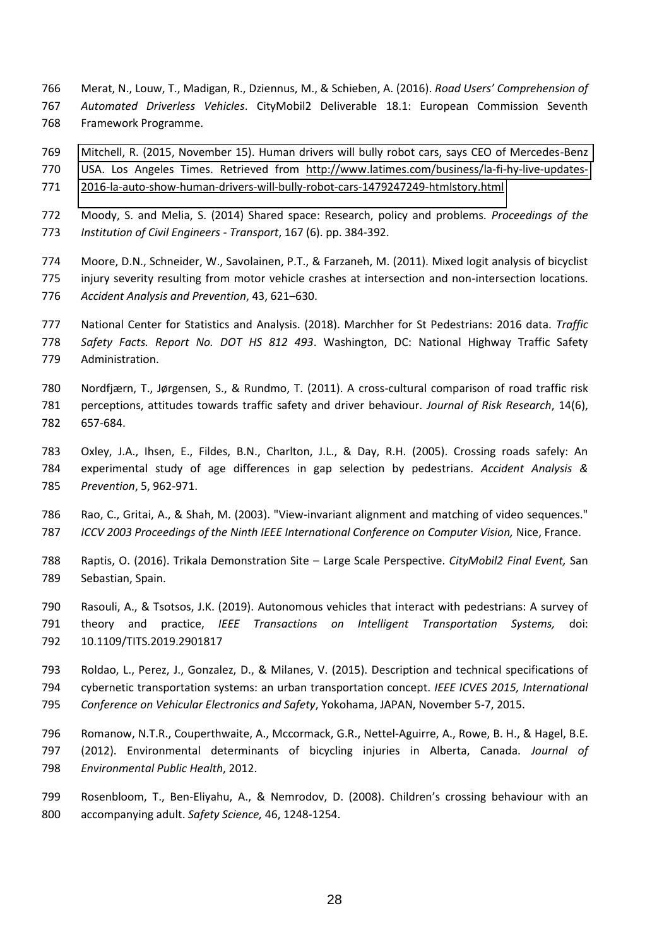766 Merat, N., Louw, T., Madigan, R., Dziennus, M., & Schieben, A. (2016). *Road Users' Comprehension of Automated Driverless Vehicles*. CityMobil2 Deliverable 18.1: European Commission Seventh Framework Programme.

 [Mitchell, R. \(2015, November 15\). Human drivers will bully robot cars, says CEO of Mercedes-Benz](http://www.latimes.com/business/la-fi-hy-live-updates-2016-la-auto-show-human-drivers-will-bully-robot-cars-1479247249-htmlstory.html)  [USA. Los Angeles Times. Retrieved from http://www.latimes.com/business/la-fi-hy-live-updates-](http://www.latimes.com/business/la-fi-hy-live-updates-2016-la-auto-show-human-drivers-will-bully-robot-cars-1479247249-htmlstory.html)[2016-la-auto-show-human-drivers-will-bully-robot-cars-1479247249-htmlstory.html](http://www.latimes.com/business/la-fi-hy-live-updates-2016-la-auto-show-human-drivers-will-bully-robot-cars-1479247249-htmlstory.html) 

- Moody, S. and Melia, S. (2014) Shared space: Research, policy and problems. *Proceedings of the Institution of Civil Engineers - Transport*, 167 (6). pp. 384-392.
- Moore, D.N., Schneider, W., Savolainen, P.T., & Farzaneh, M. (2011). Mixed logit analysis of bicyclist injury severity resulting from motor vehicle crashes at intersection and non-intersection locations. 776 Accident Analysis and Prevention, 43, 621-630.
- National Center for Statistics and Analysis. (2018). Marchher for St Pedestrians: 2016 data. *Traffic Safety Facts. Report No. DOT HS 812 493*. Washington, DC: National Highway Traffic Safety Administration.
- 780 Nordfjærn, T., Jørgensen, S., & Rundmo, T. (2011). A cross-cultural comparison of road traffic risk perceptions, attitudes towards traffic safety and driver behaviour. *Journal of Risk Research*, 14(6), 657-684.
- Oxley, J.A., Ihsen, E., Fildes, B.N., Charlton, J.L., & Day, R.H. (2005). Crossing roads safely: An experimental study of age differences in gap selection by pedestrians. *Accident Analysis & Prevention*, 5, 962-971.
- Rao, C., Gritai, A., & Shah, M. (2003). "View-invariant alignment and matching of video sequences." *ICCV 2003 Proceedings of the Ninth IEEE International Conference on Computer Vision,* Nice, France.
- 788 Raptis, O. (2016). Trikala Demonstration Site Large Scale Perspective. *CityMobil2 Final Event, San* Sebastian, Spain.
- Rasouli, A., & Tsotsos, J.K. (2019). Autonomous vehicles that interact with pedestrians: A survey of theory and practice, *IEEE Transactions on Intelligent Transportation Systems,* doi: 10.1109/TITS.2019.2901817
- Roldao, L., Perez, J., Gonzalez, D., & Milanes, V. (2015). Description and technical specifications of cybernetic transportation systems: an urban transportation concept. *IEEE ICVES 2015, International Conference on Vehicular Electronics and Safety*, Yokohama, JAPAN, November 5-7, 2015.
- Romanow, N.T.R., Couperthwaite, A., Mccormack, G.R., Nettel-Aguirre, A., Rowe, B. H., & Hagel, B.E. (2012). Environmental determinants of bicycling injuries in Alberta, Canada. *Journal of Environmental Public Health*, 2012.
- 799 Rosenbloom, T., Ben-Eliyahu, A., & Nemrodov, D. (2008). Children's crossing behaviour with an accompanying adult. *Safety Science,* 46, 1248-1254.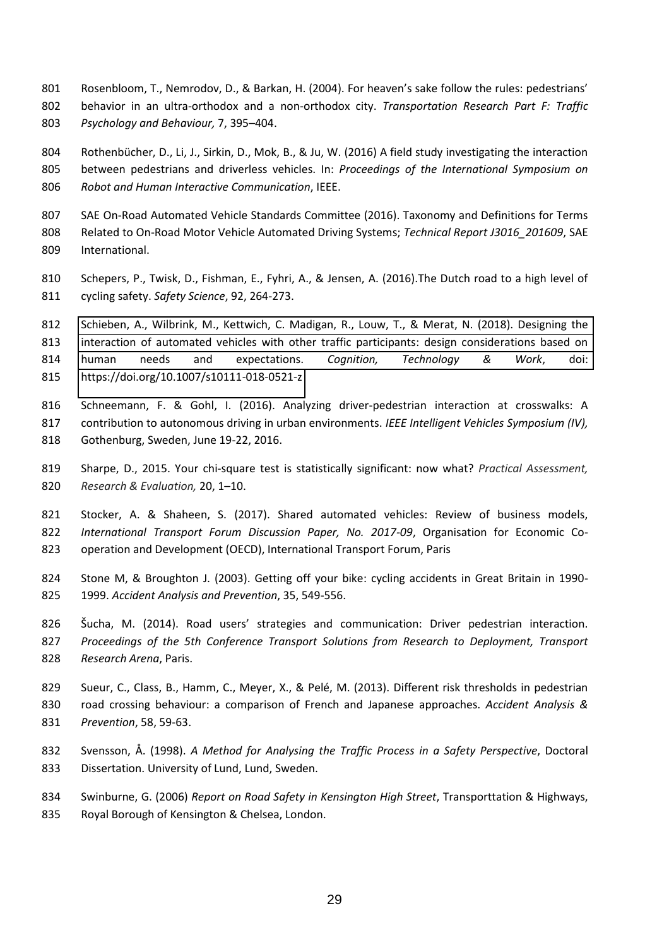801 Rosenbloom, T., Nemrodov, D., & Barkan, H. (2004). For heaven's sake follow the rules: pedestrians' behavior in an ultra-orthodox and a non-orthodox city. *Transportation Research Part F: Traffic*  803 Psychology and Behaviour, 7, 395-404.

804 Rothenbücher, D., Li, J., Sirkin, D., Mok, B., & Ju, W. (2016) A field study investigating the interaction between pedestrians and driverless vehicles. In: *Proceedings of the International Symposium on Robot and Human Interactive Communication*, IEEE.

- SAE On-Road Automated Vehicle Standards Committee (2016). Taxonomy and Definitions for Terms Related to On-Road Motor Vehicle Automated Driving Systems; *Technical Report J3016\_201609*, SAE International.
- Schepers, P., Twisk, D., Fishman, E., Fyhri, A., & Jensen, A. (2016).The Dutch road to a high level of cycling safety. *Safety Science*, 92, 264-273.

 [Schieben, A., Wilbrink, M., Kettwich, C. Madigan, R., Louw, T., & Merat, N. \(2018\). Designing the](https://doi.org/10.1007/s10111-018-0521-z)  [interaction of automated vehicles with other traffic participants: design considerations based on](https://doi.org/10.1007/s10111-018-0521-z)  [human needs and expectations.](https://doi.org/10.1007/s10111-018-0521-z) *Cognition, Technology & Work*, doi: <https://doi.org/10.1007/s10111-018-0521-z>

- Schneemann, F. & Gohl, I. (2016). Analyzing driver-pedestrian interaction at crosswalks: A contribution to autonomous driving in urban environments. *IEEE Intelligent Vehicles Symposium (IV),*  Gothenburg, Sweden, June 19-22, 2016.
- Sharpe, D., 2015. Your chi-square test is statistically significant: now what? *Practical Assessment,*  820 Research & Evaluation, 20, 1-10.
- Stocker, A. & Shaheen, S. (2017). Shared automated vehicles: Review of business models, *International Transport Forum Discussion Paper, No. 2017-09*, Organisation for Economic Co-operation and Development (OECD), International Transport Forum, Paris
- Stone M, & Broughton J. (2003). Getting off your bike: cycling accidents in Great Britain in 1990- 1999. *Accident Analysis and Prevention*, 35, 549-556.
- 826 Šucha, M. (2014). Road users' strategies and communication: Driver pedestrian interaction. *Proceedings of the 5th Conference Transport Solutions from Research to Deployment, Transport Research Arena*, Paris.
- Sueur, C., Class, B., Hamm, C., Meyer, X., & PelÈ, M. (2013). Different risk thresholds in pedestrian road crossing behaviour: a comparison of French and Japanese approaches. *Accident Analysis & Prevention*, 58, 59-63.
- Svensson, Å. (1998). *A Method for Analysing the Traffic Process in a Safety Perspective*, Doctoral Dissertation. University of Lund, Lund, Sweden.
- Swinburne, G. (2006) *Report on Road Safety in Kensington High Street*, Transporttation & Highways, Royal Borough of Kensington & Chelsea, London.